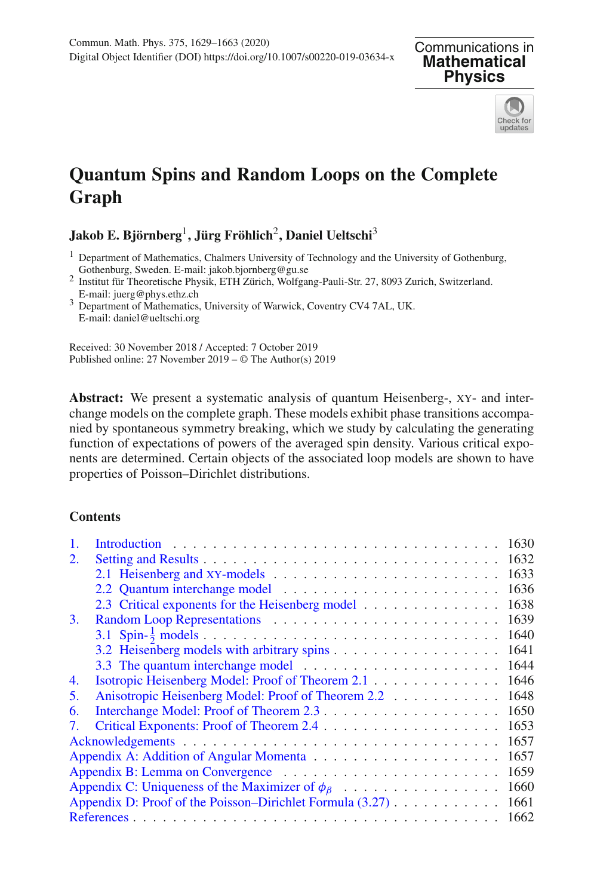**Mathematical Physics**



# **Quantum Spins and Random Loops on the Complete Graph**

## **Jakob E. Björnberg**1**, Jürg Fröhlich**2**, Daniel Ueltschi**<sup>3</sup>

- <sup>1</sup> Department of Mathematics, Chalmers University of Technology and the University of Gothenburg, Gothenburg, Sweden. E-mail: jakob.bjornberg@gu.se
- For Symetricus, Sweden. E-mail: juerg@phys.ethe Physik, ETH Zürich, Wolfgang-Pauli-Str. 27, 8093 Zurich, Switzerland.<br>E-mail: juerg@phys.ethz.ch
- <sup>3</sup> Department of Mathematics, University of Warwick, Coventry CV4 7AL, UK. E-mail: daniel@ueltschi.org

Received: 30 November 2018 / Accepted: 7 October 2019 Published online: 27 November 2019 – © The Author(s) 2019

**Abstract:** We present a systematic analysis of quantum Heisenberg-, xy- and interchange models on the complete graph. These models exhibit phase transitions accompanied by spontaneous symmetry breaking, which we study by calculating the generating function of expectations of powers of the averaged spin density. Various critical exponents are determined. Certain objects of the associated loop models are shown to have properties of Poisson–Dirichlet distributions.

#### **Contents**

|                                                           |                                                           | 1630 |
|-----------------------------------------------------------|-----------------------------------------------------------|------|
| 2.                                                        |                                                           | 1632 |
|                                                           |                                                           | 1633 |
|                                                           |                                                           | 1636 |
|                                                           | 2.3 Critical exponents for the Heisenberg model           | 1638 |
| 3.                                                        |                                                           | 1639 |
|                                                           |                                                           | 1640 |
|                                                           |                                                           | 1641 |
|                                                           |                                                           | 1644 |
| 4.                                                        | Isotropic Heisenberg Model: Proof of Theorem 2.1          | 1646 |
| 5.                                                        | Anisotropic Heisenberg Model: Proof of Theorem 2.2        | 1648 |
| 6.                                                        |                                                           | 1650 |
|                                                           |                                                           | 1653 |
|                                                           |                                                           | 1657 |
|                                                           |                                                           | 1657 |
|                                                           |                                                           | 1659 |
| Appendix C: Uniqueness of the Maximizer of $\phi_{\beta}$ |                                                           | 1660 |
|                                                           | Appendix D: Proof of the Poisson-Dirichlet Formula (3.27) | 1661 |
|                                                           |                                                           | 1662 |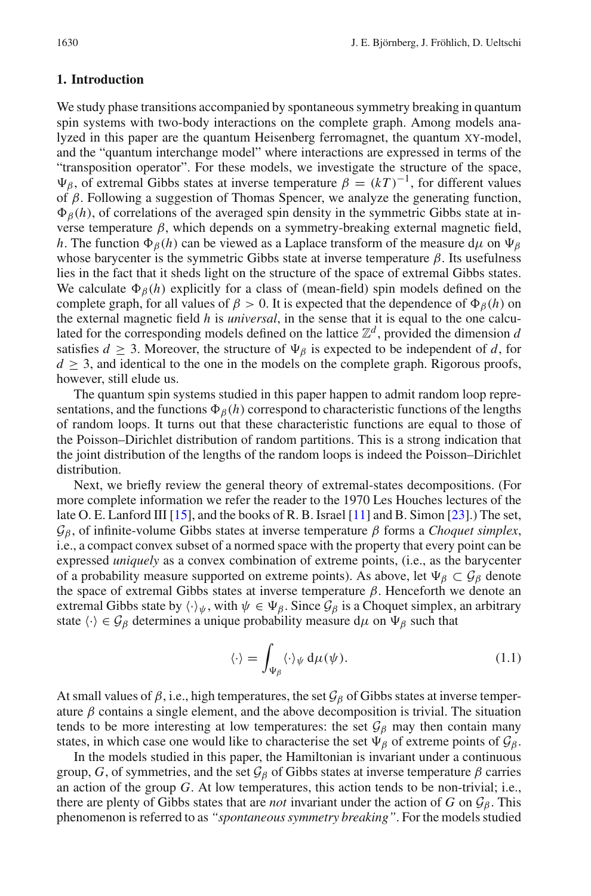#### <span id="page-1-0"></span>**1. Introduction**

We study phase transitions accompanied by spontaneous symmetry breaking in quantum spin systems with two-body interactions on the complete graph. Among models analyzed in this paper are the quantum Heisenberg ferromagnet, the quantum xy-model, and the "quantum interchange model" where interactions are expressed in terms of the "transposition operator". For these models, we investigate the structure of the space,  $\Psi_{\beta}$ , of extremal Gibbs states at inverse temperature  $\beta = (kT)^{-1}$ , for different values of  $\beta$ . Following a suggestion of Thomas Spencer, we analyze the generating function,  $\Phi_{\beta}(h)$ , of correlations of the averaged spin density in the symmetric Gibbs state at inverse temperature  $\beta$ , which depends on a symmetry-breaking external magnetic field, *h*. The function  $\Phi_{\beta}(h)$  can be viewed as a Laplace transform of the measure d<sub>μ</sub> on  $\Psi_{\beta}$ whose barycenter is the symmetric Gibbs state at inverse temperature  $\beta$ . Its usefulness lies in the fact that it sheds light on the structure of the space of extremal Gibbs states. We calculate  $\Phi_{\beta}(h)$  explicitly for a class of (mean-field) spin models defined on the complete graph, for all values of  $\beta > 0$ . It is expected that the dependence of  $\Phi_{\beta}(h)$  on the external magnetic field *h* is *universal*, in the sense that it is equal to the one calculated for the corresponding models defined on the lattice  $\mathbb{Z}^d$ , provided the dimension *d* satisfies  $d \geq 3$ . Moreover, the structure of  $\Psi_\beta$  is expected to be independent of d, for  $d > 3$ , and identical to the one in the models on the complete graph. Rigorous proofs, however, still elude us.

The quantum spin systems studied in this paper happen to admit random loop representations, and the functions  $\Phi_{\beta}(h)$  correspond to characteristic functions of the lengths of random loops. It turns out that these characteristic functions are equal to those of the Poisson–Dirichlet distribution of random partitions. This is a strong indication that the joint distribution of the lengths of the random loops is indeed the Poisson–Dirichlet distribution.

Next, we briefly review the general theory of extremal-states decompositions. (For more complete information we refer the reader to the 1970 Les Houches lectures of the late O. E. Lanford III [\[15](#page-34-0)], and the books of R. B. Israel [\[11](#page-34-1)] and B. Simon [\[23\]](#page-34-2).) The set,  $\mathcal{G}_{\beta}$ , of infinite-volume Gibbs states at inverse temperature  $\beta$  forms a *Choquet simplex*, i.e., a compact convex subset of a normed space with the property that every point can be expressed *uniquely* as a convex combination of extreme points, (i.e., as the barycenter of a probability measure supported on extreme points). As above, let  $\Psi_{\beta} \subset \mathcal{G}_{\beta}$  denote the space of extremal Gibbs states at inverse temperature  $β$ . Henceforth we denote an extremal Gibbs state by  $\langle \cdot \rangle_{\psi}$ , with  $\psi \in \Psi_{\beta}$ . Since  $\mathcal{G}_{\beta}$  is a Choquet simplex, an arbitrary state  $\langle \cdot \rangle \in \mathcal{G}_{\beta}$  determines a unique probability measure d $\mu$  on  $\Psi_{\beta}$  such that

$$
\langle \cdot \rangle = \int_{\Psi_{\beta}} \langle \cdot \rangle_{\psi} d\mu(\psi). \tag{1.1}
$$

At small values of  $\beta$ , i.e., high temperatures, the set  $\mathcal{G}_{\beta}$  of Gibbs states at inverse temperature  $\beta$  contains a single element, and the above decomposition is trivial. The situation tends to be more interesting at low temperatures: the set  $\mathcal{G}_{\beta}$  may then contain many states, in which case one would like to characterise the set  $\Psi_{\beta}$  of extreme points of  $\mathcal{G}_{\beta}$ .

In the models studied in this paper, the Hamiltonian is invariant under a continuous group, *G*, of symmetries, and the set  $\mathcal{G}_{\beta}$  of Gibbs states at inverse temperature  $\beta$  carries an action of the group *G*. At low temperatures, this action tends to be non-trivial; i.e., there are plenty of Gibbs states that are *not* invariant under the action of *G* on  $\mathcal{G}_\beta$ . This phenomenon is referred to as *"spontaneous symmetry breaking"*. For the models studied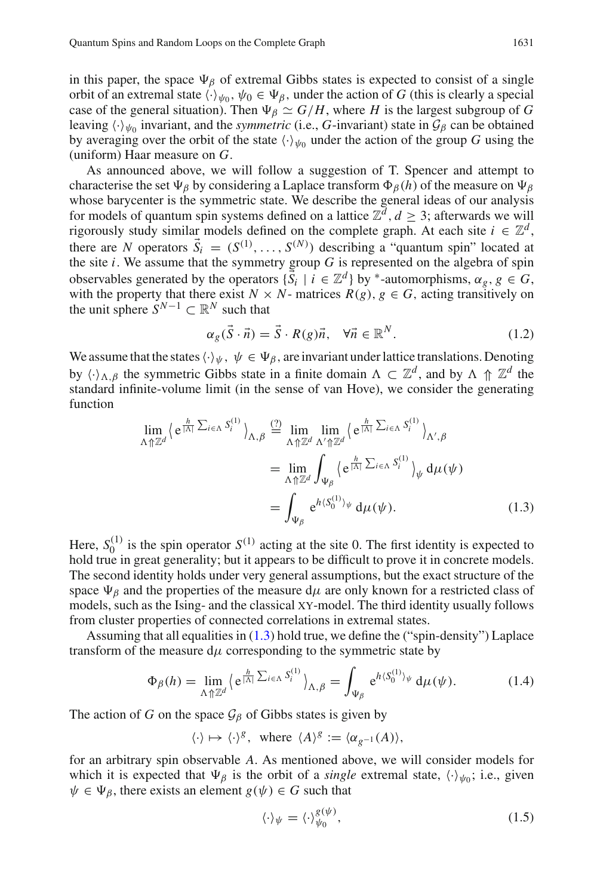in this paper, the space  $\Psi_{\beta}$  of extremal Gibbs states is expected to consist of a single orbit of an extremal state  $\langle \cdot \rangle_{\psi_0}, \psi_0 \in \Psi_\beta$ , under the action of *G* (this is clearly a special case of the general situation). Then  $\Psi_{\beta} \simeq G/H$ , where *H* is the largest subgroup of *G* leaving  $\langle \cdot \rangle_{\psi_0}$  invariant, and the *symmetric* (i.e., *G*-invariant) state in  $\mathcal{G}_{\beta}$  can be obtained by averaging over the orbit of the state  $\langle \cdot \rangle_{\psi_0}$  under the action of the group *G* using the (uniform) Haar measure on *G*.

As announced above, we will follow a suggestion of T. Spencer and attempt to characterise the set  $\Psi_\beta$  by considering a Laplace transform  $\Phi_\beta(h)$  of the measure on  $\Psi_\beta$ whose barycenter is the symmetric state. We describe the general ideas of our analysis for models of quantum spin systems defined on a lattice  $\mathbb{Z}^d$ ,  $d \geq 3$ ; afterwards we will rigorously study similar models defined on the complete graph. At each site  $i \in \mathbb{Z}^d$ , there are *N* operators  $\vec{S}_i = (S^{(1)}, \ldots, S^{(N)})$  describing a "quantum spin" located at the site  $i$ . We assume that the symmetry group  $G$  is represented on the algebra of spin observables generated by the operators  $\{\vec{S}_i \mid i \in \mathbb{Z}^d\}$  by <sup>\*</sup>-automorphisms,  $\alpha_g$ ,  $g \in G$ , with the property that there exist  $N \times N$ - matrices  $R(g)$ ,  $g \in G$ , acting transitively on the unit sphere  $S^{N-1} \subset \mathbb{R}^N$  such that

<span id="page-2-0"></span>
$$
\alpha_g(\vec{S} \cdot \vec{n}) = \vec{S} \cdot R(g)\vec{n}, \quad \forall \vec{n} \in \mathbb{R}^N.
$$
 (1.2)

We assume that the states  $\langle \cdot \rangle_{\psi}$ ,  $\psi \in \Psi_{\beta}$ , are invariant under lattice translations. Denoting by  $\langle \cdot \rangle_{\Lambda, \beta}$  the symmetric Gibbs state in a finite domain  $\Lambda \subset \mathbb{Z}^d$ , and by  $\Lambda \uparrow \mathbb{Z}^d$  the standard infinite-volume limit (in the sense of van Hove), we consider the generating function

$$
\lim_{\Lambda \uparrow \mathbb{Z}^d} \left\langle e^{\frac{h}{|\Lambda|} \sum_{i \in \Lambda} S_i^{(1)}} \right\rangle_{\Lambda, \beta} \stackrel{(2)}{=} \lim_{\Lambda \uparrow \mathbb{Z}^d} \lim_{\Lambda' \uparrow \mathbb{Z}^d} \left\langle e^{\frac{h}{|\Lambda|} \sum_{i \in \Lambda} S_i^{(1)}} \right\rangle_{\Lambda', \beta}
$$
\n
$$
= \lim_{\Lambda \uparrow \mathbb{Z}^d} \int_{\Psi_{\beta}} \left\langle e^{\frac{h}{|\Lambda|} \sum_{i \in \Lambda} S_i^{(1)}} \right\rangle_{\psi} d\mu(\psi)
$$
\n
$$
= \int_{\Psi_{\beta}} e^{h \langle S_0^{(1)} \rangle_{\psi}} d\mu(\psi). \tag{1.3}
$$

Here,  $S_0^{(1)}$  is the spin operator  $S^{(1)}$  acting at the site 0. The first identity is expected to hold true in great generality; but it appears to be difficult to prove it in concrete models. The second identity holds under very general assumptions, but the exact structure of the space  $\Psi_\beta$  and the properties of the measure d $\mu$  are only known for a restricted class of models, such as the Ising- and the classical xy-model. The third identity usually follows from cluster properties of connected correlations in extremal states.

Assuming that all equalities in [\(1.3\)](#page-2-0) hold true, we define the ("spin-density") Laplace transform of the measure  $d\mu$  corresponding to the symmetric state by

$$
\Phi_{\beta}(h) = \lim_{\Lambda \uparrow \mathbb{Z}^d} \left\langle e^{\frac{h}{|\Lambda|} \sum_{i \in \Lambda} S_i^{(1)}} \right\rangle_{\Lambda, \beta} = \int_{\Psi_{\beta}} e^{h \langle S_0^{(1)} \rangle_{\psi}} d\mu(\psi). \tag{1.4}
$$

The action of *G* on the space  $\mathcal{G}_{\beta}$  of Gibbs states is given by

$$
\langle \cdot \rangle \mapsto \langle \cdot \rangle^g, \text{ where } \langle A \rangle^g := \langle \alpha_{g^{-1}}(A) \rangle,
$$

for an arbitrary spin observable *A*. As mentioned above, we will consider models for which it is expected that  $\Psi_{\beta}$  is the orbit of a *single* extremal state,  $\langle \cdot \rangle_{\psi_0}$ ; i.e., given  $\psi \in \Psi_{\beta}$ , there exists an element  $g(\psi) \in G$  such that

<span id="page-2-1"></span>
$$
\langle \cdot \rangle_{\psi} = \langle \cdot \rangle_{\psi_0}^{g(\psi)},\tag{1.5}
$$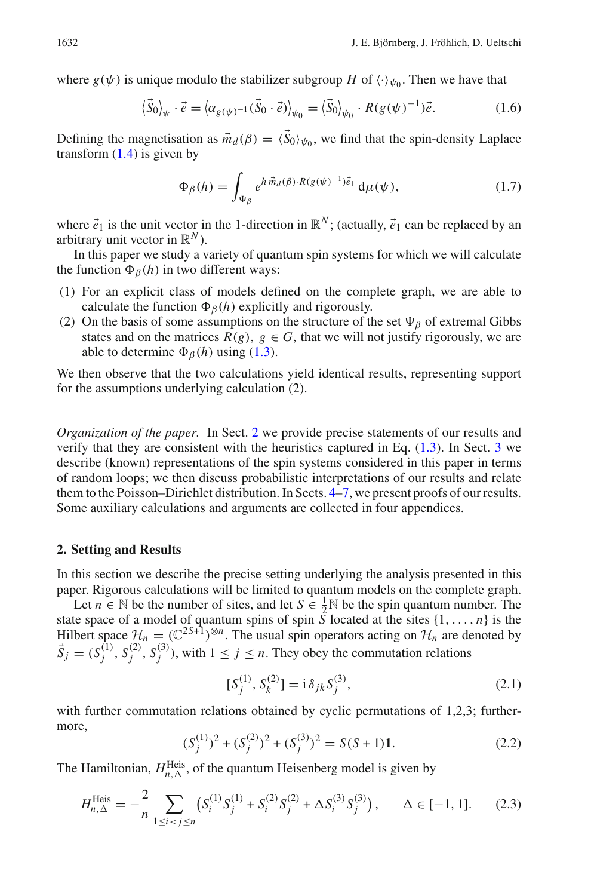where  $g(\psi)$  is unique modulo the stabilizer subgroup *H* of  $\langle \cdot \rangle_{\psi_0}$ . Then we have that

$$
\langle \vec{S}_0 \rangle_{\psi} \cdot \vec{e} = \langle \alpha_{g(\psi)^{-1}} (\vec{S}_0 \cdot \vec{e}) \rangle_{\psi_0} = \langle \vec{S}_0 \rangle_{\psi_0} \cdot R(g(\psi)^{-1}) \vec{e}.
$$
 (1.6)

Defining the magnetisation as  $\vec{m}_d(\beta) = \langle \vec{S}_0 \rangle_{\psi_0}$ , we find that the spin-density Laplace transform  $(1.4)$  is given by

$$
\Phi_{\beta}(h) = \int_{\Psi_{\beta}} e^{h \vec{m}_d(\beta) \cdot R(g(\psi)^{-1}) \vec{e}_1} d\mu(\psi), \qquad (1.7)
$$

where  $\vec{e}_1$  is the unit vector in the 1-direction in  $\mathbb{R}^N$ ; (actually,  $\vec{e}_1$  can be replaced by an arbitrary unit vector in  $\mathbb{R}^N$ ).

In this paper we study a variety of quantum spin systems for which we will calculate the function  $\Phi_{\beta}(h)$  in two different ways:

- (1) For an explicit class of models defined on the complete graph, we are able to calculate the function  $\Phi_{\beta}(h)$  explicitly and rigorously.
- (2) On the basis of some assumptions on the structure of the set  $\Psi_\beta$  of extremal Gibbs states and on the matrices  $R(g)$ ,  $g \in G$ , that we will not justify rigorously, we are able to determine  $\Phi_{\beta}(h)$  using [\(1.3\)](#page-2-0).

We then observe that the two calculations yield identical results, representing support for the assumptions underlying calculation (2).

*Organization of the paper.* In Sect. [2](#page-3-0) we provide precise statements of our results and verify that they are consistent with the heuristics captured in Eq. [\(1.3\)](#page-2-0). In Sect. [3](#page-10-0) we describe (known) representations of the spin systems considered in this paper in terms of random loops; we then discuss probabilistic interpretations of our results and relate them to the Poisson–Dirichlet distribution. In Sects. [4–](#page-17-0)[7,](#page-24-0) we present proofs of our results. Some auxiliary calculations and arguments are collected in four appendices.

#### <span id="page-3-0"></span>**2. Setting and Results**

In this section we describe the precise setting underlying the analysis presented in this paper. Rigorous calculations will be limited to quantum models on the complete graph.

Let *n*  $\in$  N be the number of sites, and let  $S \in \frac{1}{2}N$  be the spin quantum number. The state space of a model of quantum spins of spin *S* located at the sites  $\{1, \ldots, n\}$  is the Hilbert space  $\mathcal{H}_n = (\mathbb{C}^{2s+1})^{\otimes n}$ . The usual spin operators acting on  $\mathcal{H}_n$  are denoted by  $\vec{S}_j = (S_j^{(1)}, S_j^{(2)}, S_j^{(3)})$ , with  $1 \le j \le n$ . They obey the commutation relations

$$
[S_j^{(1)}, S_k^{(2)}] = i \delta_{jk} S_j^{(3)},
$$
\n(2.1)

with further commutation relations obtained by cyclic permutations of 1,2,3; furthermore,

$$
(S_j^{(1)})^2 + (S_j^{(2)})^2 + (S_j^{(3)})^2 = S(S+1)\mathbf{1}.
$$
 (2.2)

The Hamiltonian,  $H_{n,\Delta}^{\text{Heis}}$ , of the quantum Heisenberg model is given by

$$
H_{n,\Delta}^{\text{Heis}} = -\frac{2}{n} \sum_{1 \le i < j \le n} \left( S_i^{(1)} S_j^{(1)} + S_i^{(2)} S_j^{(2)} + \Delta S_i^{(3)} S_j^{(3)} \right), \qquad \Delta \in [-1, 1]. \tag{2.3}
$$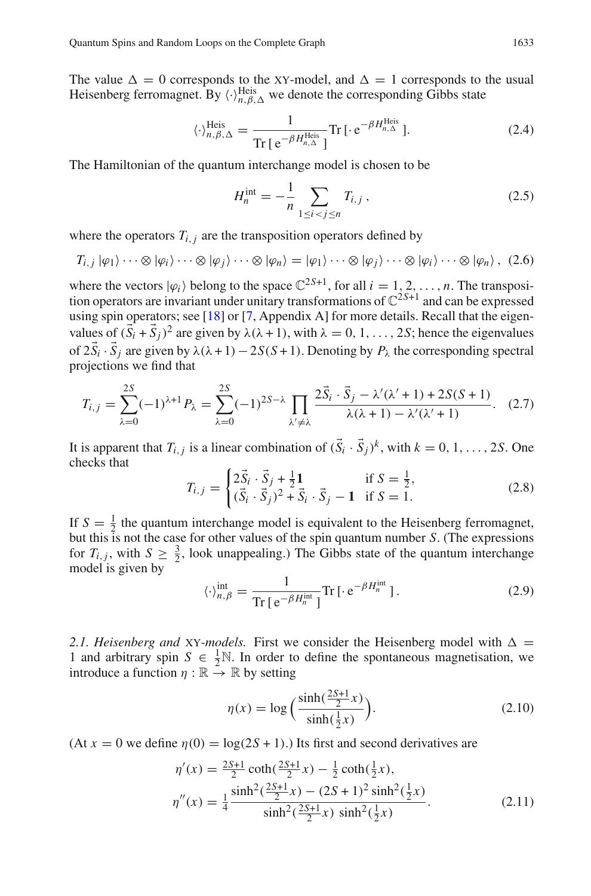The value  $\Delta = 0$  corresponds to the XY-model, and  $\Delta = 1$  corresponds to the usual Heisenberg ferromagnet. By  $\langle \cdot \rangle_{n,\beta,\Delta}^{\text{Heis}}$  we denote the corresponding Gibbs state

$$
\langle \cdot \rangle_{n,\beta,\Delta}^{\text{Heis}} = \frac{1}{\text{Tr}\left[e^{-\beta H_{n,\Delta}^{\text{Heis}}}\right]} \text{Tr}\left[\cdot e^{-\beta H_{n,\Delta}^{\text{Heis}}}\right].\tag{2.4}
$$

The Hamiltonian of the quantum interchange model is chosen to be

$$
H_n^{\text{int}} = -\frac{1}{n} \sum_{1 \le i < j \le n} T_{i,j},\tag{2.5}
$$

where the operators  $T_{i,j}$  are the transposition operators defined by

$$
T_{i,j} |\varphi_1\rangle \cdots \otimes |\varphi_i\rangle \cdots \otimes |\varphi_j\rangle \cdots \otimes |\varphi_n\rangle = |\varphi_1\rangle \cdots \otimes |\varphi_j\rangle \cdots \otimes |\varphi_i\rangle \cdots \otimes |\varphi_n\rangle, (2.6)
$$

where the vectors  $|\varphi_i\rangle$  belong to the space  $\mathbb{C}^{2S+1}$ , for all  $i = 1, 2, ..., n$ . The transposition operators are invariant under unitary transformations of  $\mathbb{C}^{2S+1}$  and can be expressed using spin operators; see [\[18\]](#page-34-3) or [\[7](#page-34-4), Appendix A] for more details. Recall that the eigenvalues of  $(\vec{S}_i + \vec{S}_i)^2$  are given by  $\lambda(\lambda + 1)$ , with  $\lambda = 0, 1, \ldots, 2S$ ; hence the eigenvalues of  $2\vec{S}_i \cdot \vec{S}_j$  are given by  $\lambda(\lambda + 1) - 2S(S + 1)$ . Denoting by  $P_\lambda$  the corresponding spectral projections we find that

$$
T_{i,j} = \sum_{\lambda=0}^{2S} (-1)^{\lambda+1} P_{\lambda} = \sum_{\lambda=0}^{2S} (-1)^{2S-\lambda} \prod_{\lambda' \neq \lambda} \frac{2\vec{S}_i \cdot \vec{S}_j - \lambda'(\lambda' + 1) + 2S(S+1)}{\lambda(\lambda + 1) - \lambda'(\lambda' + 1)}.
$$
 (2.7)

It is apparent that  $T_{i,j}$  is a linear combination of  $(\vec{S}_i \cdot \vec{S}_j)^k$ , with  $k = 0, 1, ..., 2S$ . One checks that

$$
T_{i,j} = \begin{cases} 2\vec{S}_i \cdot \vec{S}_j + \frac{1}{2}\mathbf{1} & \text{if } S = \frac{1}{2}, \\ (\vec{S}_i \cdot \vec{S}_j)^2 + \vec{S}_i \cdot \vec{S}_j - \mathbf{1} & \text{if } S = 1. \end{cases}
$$
(2.8)

If  $S = \frac{1}{2}$  the quantum interchange model is equivalent to the Heisenberg ferromagnet, but this is not the case for other values of the spin quantum number *S*. (The expressions for  $T_{i,j}$ , with  $S \geq \frac{3}{2}$ , look unappealing.) The Gibbs state of the quantum interchange model is given by

$$
\langle \cdot \rangle_{n,\beta}^{\text{int}} = \frac{1}{\text{Tr}\left[e^{-\beta H_n^{\text{int}}}\right]} \text{Tr}\left[\cdot e^{-\beta H_n^{\text{int}}}\right].\tag{2.9}
$$

<span id="page-4-0"></span>2.1. Heisenberg and XY-models. First we consider the Heisenberg model with  $\Delta =$ 1 and arbitrary spin  $S \in \frac{1}{2} \mathbb{N}$ . In order to define the spontaneous magnetisation, we introduce a function  $\eta : \mathbb{R} \to \mathbb{R}$  by setting

<span id="page-4-1"></span>
$$
\eta(x) = \log \left( \frac{\sinh(\frac{2S+1}{2}x)}{\sinh(\frac{1}{2}x)} \right).
$$
 (2.10)

 $(At x = 0$  we define  $\eta(0) = \log(2S + 1)$ . Its first and second derivatives are

$$
\eta'(x) = \frac{2S+1}{2} \coth(\frac{2S+1}{2}x) - \frac{1}{2} \coth(\frac{1}{2}x),
$$
  
\n
$$
\eta''(x) = \frac{1}{4} \frac{\sinh^2(\frac{2S+1}{2}x) - (2S+1)^2 \sinh^2(\frac{1}{2}x)}{\sinh^2(\frac{2S+1}{2}x) \sinh^2(\frac{1}{2}x)}.
$$
\n(2.11)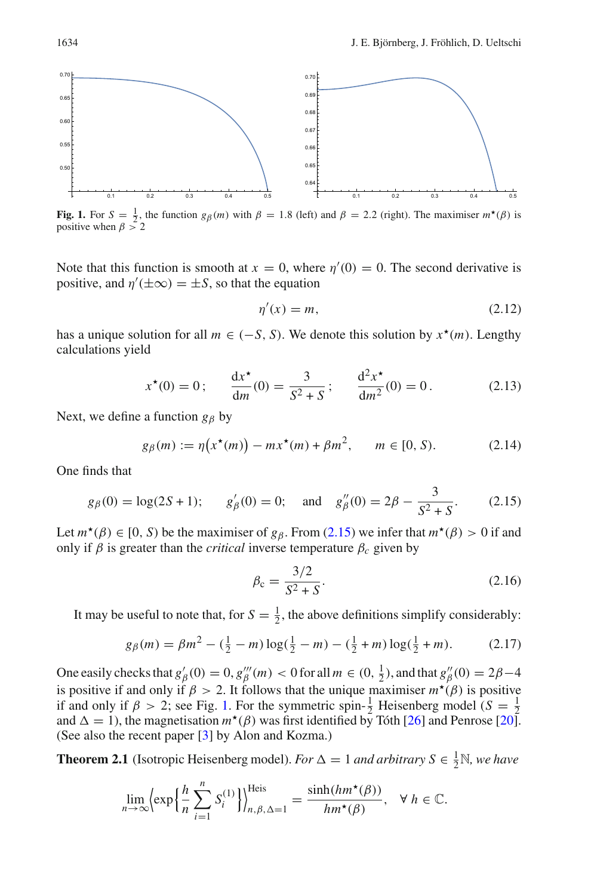

<span id="page-5-2"></span>**Fig. 1.** For  $S = \frac{1}{2}$ , the function  $g_\beta(m)$  with  $\beta = 1.8$  (left) and  $\beta = 2.2$  (right). The maximiser  $m^*(\beta)$  is positive when  $\beta > 2$ 

Note that this function is smooth at  $x = 0$ , where  $\eta'(0) = 0$ . The second derivative is positive, and  $\eta'(\pm\infty) = \pm S$ , so that the equation

<span id="page-5-5"></span>
$$
\eta'(x) = m,\tag{2.12}
$$

has a unique solution for all  $m \in (-S, S)$ . We denote this solution by  $x^*(m)$ . Lengthy calculations yield

<span id="page-5-6"></span>
$$
x^*(0) = 0;
$$
  $\frac{dx^*}{dm}(0) = \frac{3}{S^2 + S};$   $\frac{d^2x^*}{dm^2}(0) = 0.$  (2.13)

Next, we define a function  $g_\beta$  by

<span id="page-5-3"></span><span id="page-5-1"></span>
$$
g_{\beta}(m) := \eta(x^*(m)) - mx^*(m) + \beta m^2, \qquad m \in [0, S). \tag{2.14}
$$

One finds that

$$
g_{\beta}(0) = \log(2S + 1);
$$
  $g'_{\beta}(0) = 0;$  and  $g''_{\beta}(0) = 2\beta - \frac{3}{S^2 + S}.$  (2.15)

Let  $m^*(\beta) \in [0, S)$  be the maximiser of  $g_\beta$ . From [\(2.15\)](#page-5-1) we infer that  $m^*(\beta) > 0$  if and only if  $\beta$  is greater than the *critical* inverse temperature  $\beta_c$  given by

<span id="page-5-4"></span>
$$
\beta_{\rm c} = \frac{3/2}{S^2 + S}.\tag{2.16}
$$

It may be useful to note that, for  $S = \frac{1}{2}$ , the above definitions simplify considerably:

$$
g_{\beta}(m) = \beta m^2 - (\frac{1}{2} - m) \log(\frac{1}{2} - m) - (\frac{1}{2} + m) \log(\frac{1}{2} + m). \tag{2.17}
$$

One easily checks that  $g'_{\beta}(0) = 0$ ,  $g'''_{\beta}(m) < 0$  for all  $m \in (0, \frac{1}{2})$ , and that  $g''_{\beta}(0) = 2\beta - 4$ is positive if and only if  $\beta > 2$ . It follows that the unique maximiser  $m^*(\beta)$  is positive if and only if  $\beta > 2$ ; see Fig. [1.](#page-5-2) For the symmetric spin- $\frac{1}{2}$  Heisenberg model (*S* =  $\frac{1}{2}$ ) and  $\Delta = 1$ ), the magnetisation  $m^*(\beta)$  was first identified by Tóth [\[26](#page-34-5)] and Penrose [\[20](#page-34-6)]. (See also the recent paper [\[3](#page-34-7)] by Alon and Kozma.)

<span id="page-5-0"></span>**Theorem 2.1** (Isotropic Heisenberg model). *For*  $\Delta = 1$  *and arbitrary*  $S \in \frac{1}{2} \mathbb{N}$ *, we have* 

$$
\lim_{n \to \infty} \left\{ \exp\left\{ \frac{h}{n} \sum_{i=1}^{n} S_i^{(1)} \right\} \right\}_{n, \beta, \Delta = 1}^{\text{Heis}} = \frac{\sinh(hm^{\star}(\beta))}{hm^{\star}(\beta)}, \quad \forall \ h \in \mathbb{C}.
$$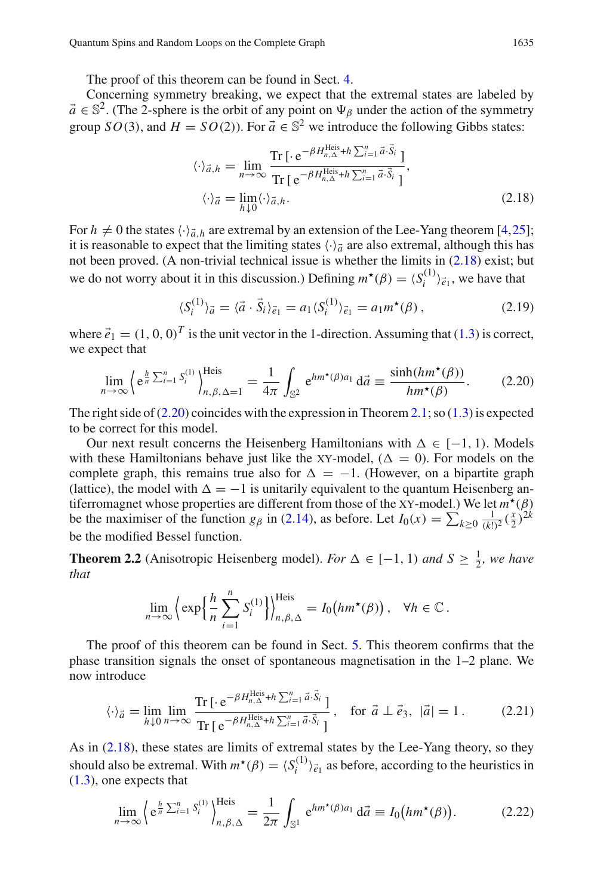The proof of this theorem can be found in Sect. [4.](#page-17-0)

Concerning symmetry breaking, we expect that the extremal states are labeled by  $\vec{a} \in \mathbb{S}^2$ . (The 2-sphere is the orbit of any point on  $\Psi_\beta$  under the action of the symmetry group *SO*(3), and  $H = SO(2)$ ). For  $\vec{a} \in \mathbb{S}^2$  we introduce the following Gibbs states:

<span id="page-6-1"></span>
$$
\langle \cdot \rangle_{\vec{a},h} = \lim_{n \to \infty} \frac{\text{Tr} \left[ \cdot e^{-\beta H_{n,\Delta}^{\text{Heis}} + h \sum_{i=1}^{n} \vec{a} \cdot \vec{S}_i} \right]}{\text{Tr} \left[ e^{-\beta H_{n,\Delta}^{\text{Heis}} + h \sum_{i=1}^{n} \vec{a} \cdot \vec{S}_i} \right]},
$$

$$
\langle \cdot \rangle_{\vec{a}} = \lim_{h \downarrow 0} \langle \cdot \rangle_{\vec{a},h}.
$$
(2.18)

For  $h \neq 0$  the states  $\langle \cdot \rangle_{\vec{a},h}$  are extremal by an extension of the Lee-Yang theorem [\[4](#page-34-8)[,25](#page-34-9)]; it is reasonable to expect that the limiting states  $\langle \cdot \rangle_{\vec{a}}$  are also extremal, although this has not been proved. (A non-trivial technical issue is whether the limits in [\(2.18\)](#page-6-1) exist; but we do not worry about it in this discussion.) Defining  $m^*(\beta) = \langle S_i^{(1)} \rangle_{\vec{e}_1}$ , we have that

$$
\langle S_i^{(1)} \rangle_{\vec{a}} = \langle \vec{a} \cdot \vec{S}_i \rangle_{\vec{e}_1} = a_1 \langle S_i^{(1)} \rangle_{\vec{e}_1} = a_1 m^{\star}(\beta) , \qquad (2.19)
$$

where  $\vec{e}_1 = (1, 0, 0)^T$  is the unit vector in the 1-direction. Assuming that [\(1.3\)](#page-2-0) is correct, we expect that

<span id="page-6-2"></span>
$$
\lim_{n\to\infty} \left\langle e^{\frac{h}{n}\sum_{i=1}^n S_i^{(1)}} \right\rangle_{n,\beta,\Delta=1}^{\text{Heis}} = \frac{1}{4\pi} \int_{\mathbb{S}^2} e^{hm^\star(\beta)a_1} d\vec{a} \equiv \frac{\sinh(hm^\star(\beta))}{hm^\star(\beta)}.
$$
 (2.20)

The right side of  $(2.20)$  coincides with the expression in Theorem [2.1;](#page-5-0) so  $(1.3)$  is expected to be correct for this model.

Our next result concerns the Heisenberg Hamiltonians with  $\Delta \in [-1, 1)$ . Models with these Hamiltonians behave just like the XY-model,  $(\Delta = 0)$ . For models on the complete graph, this remains true also for  $\Delta = -1$ . (However, on a bipartite graph (lattice), the model with  $\Delta = -1$  is unitarily equivalent to the quantum Heisenberg antiferromagnet whose properties are different from those of the XY-model.) We let  $m^{\star}(\beta)$ be the maximiser of the function *g<sub>β</sub>* in [\(2.14\)](#page-5-3), as before. Let  $I_0(x) = \sum_{k \ge 0} \frac{1}{(k!)^2} (\frac{x}{2})^{2k}$ be the modified Bessel function.

<span id="page-6-0"></span>**Theorem 2.2** (Anisotropic Heisenberg model). *For*  $\Delta \in [-1, 1)$  *and*  $S \ge \frac{1}{2}$ *, we have that*

$$
\lim_{n\to\infty}\left\{\exp\left\{\frac{h}{n}\sum_{i=1}^n S_i^{(1)}\right\}\right\}_{n,\beta,\Delta}^{\text{Heis}}=I_0\big(h m^{\star}(\beta)\big), \quad \forall h \in \mathbb{C}.
$$

The proof of this theorem can be found in Sect. [5.](#page-19-0) This theorem confirms that the phase transition signals the onset of spontaneous magnetisation in the 1–2 plane. We now introduce

$$
\langle \cdot \rangle_{\vec{a}} = \lim_{h \downarrow 0} \lim_{n \to \infty} \frac{\text{Tr} \left[ \cdot e^{-\beta H_{n,\Delta}^{\text{Heis}} + h \sum_{i=1}^{n} \vec{a} \cdot \vec{S}_i} \right]}{\text{Tr} \left[ e^{-\beta H_{n,\Delta}^{\text{Heis}} + h \sum_{i=1}^{n} \vec{a} \cdot \vec{S}_i} \right]}, \text{ for } \vec{a} \perp \vec{e}_3, |\vec{a}| = 1. \tag{2.21}
$$

As in [\(2.18\)](#page-6-1), these states are limits of extremal states by the Lee-Yang theory, so they should also be extremal. With  $m^*(\beta) = \langle S_i^{(1)} \rangle_{\vec{e}_1}$  as before, according to the heuristics in [\(1.3\)](#page-2-0), one expects that

$$
\lim_{n\to\infty}\left\{e^{\frac{h}{n}\sum_{i=1}^n S_i^{(1)}}\right\}_{n,\beta,\Delta}^{\text{Heis}}=\frac{1}{2\pi}\int_{\mathbb{S}^1}e^{hm^\star(\beta)a_1}\,\mathrm{d}\vec{a}\equiv I_0\big(h m^\star(\beta)\big). \tag{2.22}
$$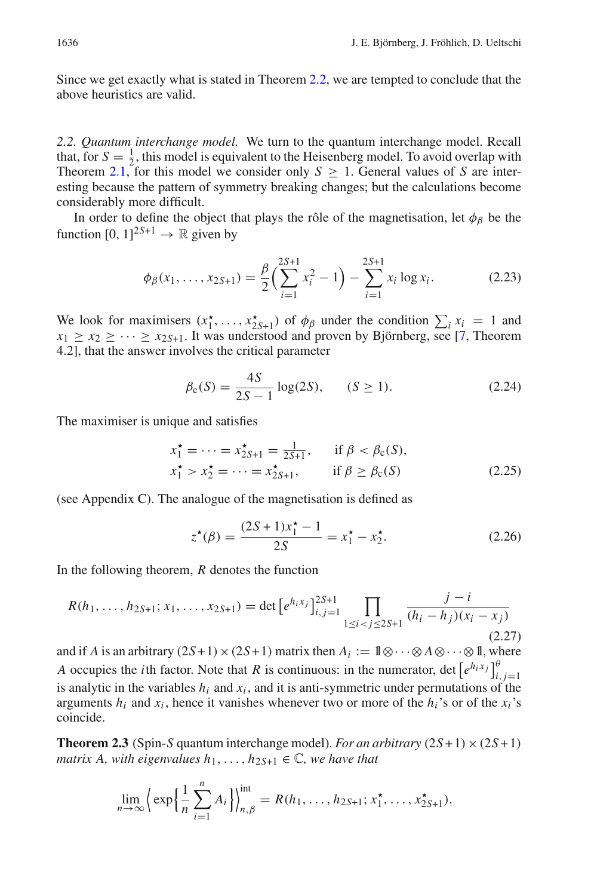Since we get exactly what is stated in Theorem [2.2,](#page-6-0) we are tempted to conclude that the above heuristics are valid.

<span id="page-7-0"></span>*2.2. Quantum interchange model.* We turn to the quantum interchange model. Recall that, for  $S = \frac{1}{2}$ , this model is equivalent to the Heisenberg model. To avoid overlap with Theorem [2.1,](#page-5-0) for this model we consider only  $S \geq 1$ . General values of *S* are interesting because the pattern of symmetry breaking changes; but the calculations become considerably more difficult.

In order to define the object that plays the rôle of the magnetisation, let  $\phi_\beta$  be the function  $[0, 1]^{2S+1} \rightarrow \mathbb{R}$  given by

$$
\phi_{\beta}(x_1,\ldots,x_{2S+1}) = \frac{\beta}{2} \left( \sum_{i=1}^{2S+1} x_i^2 - 1 \right) - \sum_{i=1}^{2S+1} x_i \log x_i.
$$
 (2.23)

We look for maximisers  $(x_1^*, \ldots, x_{2S+1}^*)$  of  $\phi_\beta$  under the condition  $\sum_i x_i = 1$  and  $x_1 \ge x_2 \ge \cdots \ge x_{2S+1}$ . It was understood and proven by Björnberg, see [\[7,](#page-34-4) Theorem 4.2], that the answer involves the critical parameter

$$
\beta_{c}(S) = \frac{4S}{2S - 1} \log(2S), \qquad (S \ge 1). \tag{2.24}
$$

The maximiser is unique and satisfies

$$
x_1^* = \dots = x_{2S+1}^* = \frac{1}{2S+1}, \quad \text{if } \beta < \beta_c(S),
$$
\n
$$
x_1^* > x_2^* = \dots = x_{2S+1}^*, \quad \text{if } \beta \ge \beta_c(S) \tag{2.25}
$$

(see Appendix C). The analogue of the magnetisation is defined as

<span id="page-7-2"></span>
$$
z^{\star}(\beta) = \frac{(2S+1)x_1^{\star} - 1}{2S} = x_1^{\star} - x_2^{\star}.
$$
 (2.26)

In the following theorem, *R* denotes the function

$$
R(h_1, \ldots, h_{2S+1}; x_1, \ldots, x_{2S+1}) = \det \left[ e^{h_i x_j} \right]_{i,j=1}^{2S+1} \prod_{1 \le i < j \le 2S+1} \frac{j-i}{(h_i - h_j)(x_i - x_j)}\tag{2.27}
$$

and if *A* is an arbitrary  $(2S+1) \times (2S+1)$  matrix then  $A_i := 1 \otimes \cdots \otimes A \otimes \cdots \otimes 1$ , where *A* occupies the *i*th factor. Note that *R* is continuous: in the numerator, det  $\left[ e^{h_i x_j} \right]_{i,j=1}^{\theta}$ is analytic in the variables  $h_i$  and  $x_i$ , and it is anti-symmetric under permutations of the arguments  $h_i$  and  $x_i$ , hence it vanishes whenever two or more of the  $h_i$ 's or of the  $x_i$ 's coincide.

<span id="page-7-1"></span>**Theorem 2.3** (Spin-*S* quantum interchange model). *For an arbitrary*  $(2S+1) \times (2S+1)$ *matrix A, with eigenvalues*  $h_1, \ldots, h_{2S+1} \in \mathbb{C}$ *, we have that* 

$$
\lim_{n \to \infty} \left\{ \exp \left\{ \frac{1}{n} \sum_{i=1}^{n} A_i \right\} \right\}_{n, \beta}^{\text{int}} = R(h_1, \dots, h_{2S+1}; x_1^{\star}, \dots, x_{2S+1}^{\star}).
$$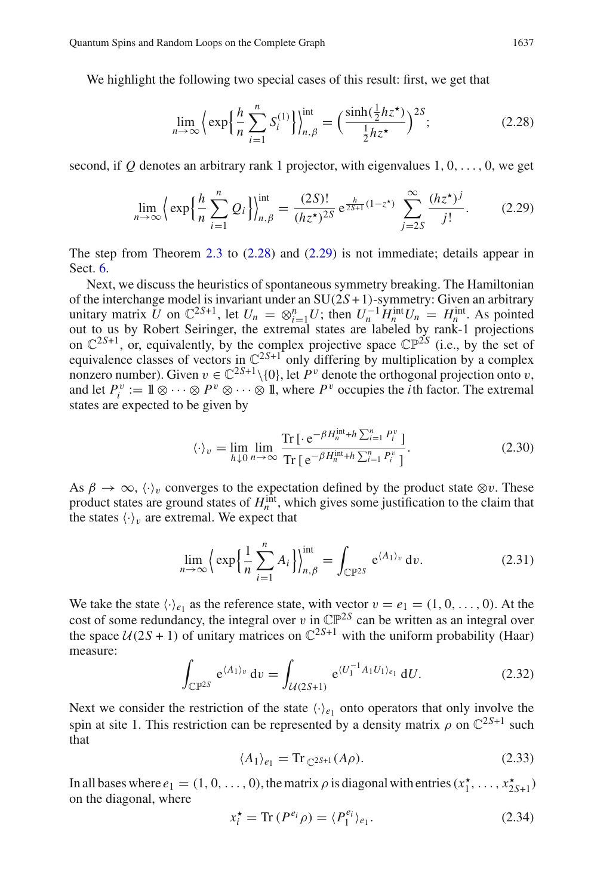We highlight the following two special cases of this result: first, we get that

<span id="page-8-1"></span><span id="page-8-0"></span>
$$
\lim_{n \to \infty} \left\{ \exp\left\{ \frac{h}{n} \sum_{i=1}^{n} S_i^{(1)} \right\} \right\}_{n,\beta}^{\text{int}} = \left( \frac{\sinh(\frac{1}{2} h z^*)}{\frac{1}{2} h z^*} \right)^{2S};\tag{2.28}
$$

second, if  $Q$  denotes an arbitrary rank 1 projector, with eigenvalues  $1, 0, \ldots, 0$ , we get

$$
\lim_{n \to \infty} \left\{ \exp\left\{ \frac{h}{n} \sum_{i=1}^{n} Q_i \right\} \right\}_{n,\beta}^{\text{int}} = \frac{(2S)!}{(hz^{\star})^{2S}} e^{\frac{h}{2S+1}(1-z^{\star})} \sum_{j=2S}^{\infty} \frac{(hz^{\star})^j}{j!}.
$$
 (2.29)

The step from Theorem [2.3](#page-7-1) to  $(2.28)$  and  $(2.29)$  is not immediate; details appear in Sect. [6.](#page-21-0)

Next, we discuss the heuristics of spontaneous symmetry breaking. The Hamiltonian of the interchange model is invariant under an SU(2*S* + 1)-symmetry: Given an arbitrary unitary matrix *U* on  $\mathbb{C}^{2S+1}$ , let  $U_n = \otimes_{i=1}^n U$ ; then  $U_n^{-1} H_n^{\text{int}} U_n = H_n^{\text{int}}$ . As pointed out to us by Robert Seiringer, the extremal states are labeled by rank-1 projections on  $\mathbb{C}^{2S+1}$ , or, equivalently, by the complex projective space  $\mathbb{CP}^{2S}$  (i.e., by the set of equivalence classes of vectors in  $\mathbb{C}^{2S+1}$  only differing by multiplication by a complex nonzero number). Given  $v \in \mathbb{C}^{2S+1} \setminus \{0\}$ , let  $P^v$  denote the orthogonal projection onto v, and let  $P_i^v := \mathbb{1} \otimes \cdots \otimes P^v \otimes \cdots \otimes \mathbb{1}$ , where  $P^v$  occupies the *i*th factor. The extremal states are expected to be given by

$$
\langle \cdot \rangle_{v} = \lim_{h \downarrow 0} \lim_{n \to \infty} \frac{\text{Tr} \left[ \cdot e^{-\beta H_{n}^{\text{int}} + h \sum_{i=1}^{n} P_{i}^{v}} \right]}{\text{Tr} \left[ e^{-\beta H_{n}^{\text{int}} + h \sum_{i=1}^{n} P_{i}^{v}} \right]}.
$$
 (2.30)

As  $\beta \to \infty$ ,  $\langle \cdot \rangle_v$  converges to the expectation defined by the product state  $\otimes v$ . These product states are ground states of  $H<sub>n</sub><sup>int</sup>$ , which gives some justification to the claim that the states  $\langle \cdot \rangle_v$  are extremal. We expect that

$$
\lim_{n \to \infty} \left\{ \exp\left\{ \frac{1}{n} \sum_{i=1}^{n} A_i \right\} \right\}_{n,\beta}^{\text{int}} = \int_{\mathbb{CP}^{2S}} e^{\langle A_1 \rangle_v} dv. \tag{2.31}
$$

We take the state  $\langle \cdot \rangle_{e_1}$  as the reference state, with vector  $v = e_1 = (1, 0, \ldots, 0)$ . At the cost of some redundancy, the integral over v in  $\mathbb{CP}^{2S}$  can be written as an integral over the space  $U(2S + 1)$  of unitary matrices on  $\mathbb{C}^{2S+1}$  with the uniform probability (Haar) measure:

$$
\int_{\mathbb{CP}^{2S}} e^{\langle A_1 \rangle_v} dv = \int_{\mathcal{U}(2S+1)} e^{\langle U_1^{-1} A_1 U_1 \rangle_{e_1}} dU.
$$
 (2.32)

Next we consider the restriction of the state  $\langle \cdot \rangle_{e_1}$  onto operators that only involve the spin at site 1. This restriction can be represented by a density matrix  $\rho$  on  $\mathbb{C}^{2S+1}$  such that

$$
\langle A_1 \rangle_{e_1} = \text{Tr}_{\mathbb{C}^{2S+1}}(A\rho). \tag{2.33}
$$

In all bases where  $e_1 = (1, 0, \ldots, 0)$ , the matrix  $\rho$  is diagonal with entries  $(x_1^*, \ldots, x_{2S+1}^*)$ on the diagonal, where

$$
x_i^* = \text{Tr}\,(P^{e_i}\rho) = \langle P_1^{e_i} \rangle_{e_1}.\tag{2.34}
$$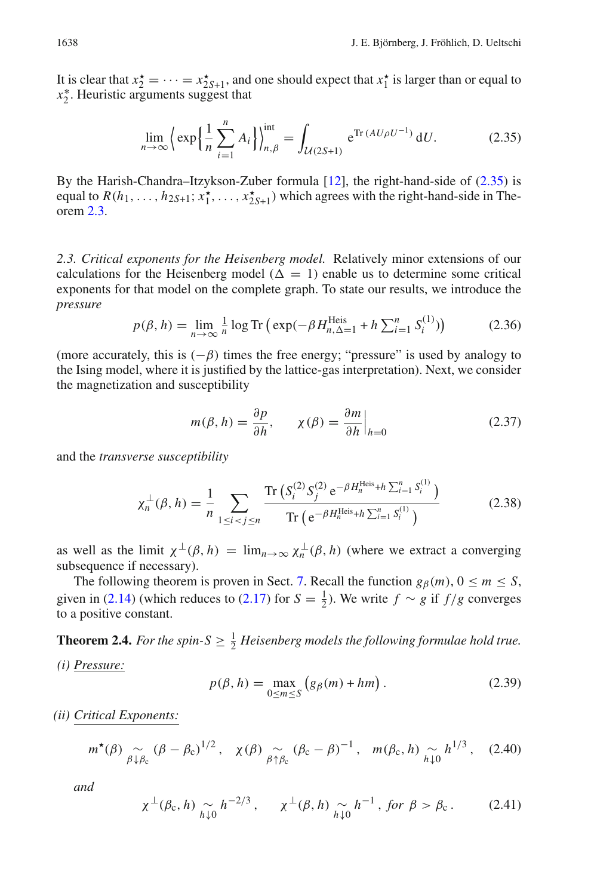It is clear that  $x_2^* = \cdots = x_{2S+1}^*$ , and one should expect that  $x_1^*$  is larger than or equal to *x*∗ <sup>2</sup> . Heuristic arguments suggest that

<span id="page-9-2"></span>
$$
\lim_{n \to \infty} \left\{ \exp \left\{ \frac{1}{n} \sum_{i=1}^{n} A_i \right\} \right\}_{n, \beta}^{\text{int}} = \int_{\mathcal{U}(2S+1)} e^{\text{Tr}(A U \rho U^{-1})} dU. \tag{2.35}
$$

By the Harish-Chandra–Itzykson-Zuber formula [\[12\]](#page-34-10), the right-hand-side of [\(2.35\)](#page-9-2) is equal to  $R(h_1, \ldots, h_{2S+1}; x_1^{\star}, \ldots, x_{2S+1}^{\star})$  which agrees with the right-hand-side in Theorem [2.3.](#page-7-1)

<span id="page-9-0"></span>*2.3. Critical exponents for the Heisenberg model.* Relatively minor extensions of our calculations for the Heisenberg model ( $\Delta = 1$ ) enable us to determine some critical exponents for that model on the complete graph. To state our results, we introduce the *pressure*

<span id="page-9-6"></span>
$$
p(\beta, h) = \lim_{n \to \infty} \frac{1}{n} \log \text{Tr} \left( \exp(-\beta H_{n, \Delta=1}^{\text{Heis}} + h \sum_{i=1}^{n} S_i^{(1)}) \right)
$$
(2.36)

(more accurately, this is  $(-\beta)$  times the free energy; "pressure" is used by analogy to the Ising model, where it is justified by the lattice-gas interpretation). Next, we consider the magnetization and susceptibility

$$
m(\beta, h) = \frac{\partial p}{\partial h}, \qquad \chi(\beta) = \frac{\partial m}{\partial h}\Big|_{h=0}
$$
 (2.37)

and the *transverse susceptibility*

$$
\chi_n^{\perp}(\beta, h) = \frac{1}{n} \sum_{1 \le i < j \le n} \frac{\text{Tr}\left(S_i^{(2)} S_j^{(2)} e^{-\beta H_n^{\text{Heis}} + h \sum_{i=1}^n S_i^{(1)}}\right)}{\text{Tr}\left(e^{-\beta H_n^{\text{Heis}} + h \sum_{i=1}^n S_i^{(1)}}\right)}\tag{2.38}
$$

as well as the limit  $\chi^{\perp}(\beta, h) = \lim_{n \to \infty} \chi^{\perp}_n(\beta, h)$  (where we extract a converging subsequence if necessary).

The following theorem is proven in Sect. [7.](#page-24-0) Recall the function  $g_{\beta}(m)$ ,  $0 \le m \le S$ , given in [\(2.14\)](#page-5-3) (which reduces to [\(2.17\)](#page-5-4) for  $S = \frac{1}{2}$ ). We write  $f \sim g$  if  $f/g$  converges to a positive constant.

<span id="page-9-4"></span><span id="page-9-1"></span>**Theorem 2.4.** For the spin- $S \geq \frac{1}{2}$  Heisenberg models the following formulae hold true. *(i) Pressure:*

<span id="page-9-3"></span>
$$
p(\beta, h) = \max_{0 \le m \le S} (g_{\beta}(m) + hm).
$$
 (2.39)

*(ii) Critical Exponents:*

$$
m^{\star}(\beta) \underset{\beta \downarrow \beta_c}{\sim} (\beta - \beta_c)^{1/2}, \quad \chi(\beta) \underset{\beta \uparrow \beta_c}{\sim} (\beta_c - \beta)^{-1}, \quad m(\beta_c, h) \underset{\hat{h} \downarrow 0}{\sim} h^{1/3}, \quad (2.40)
$$

<span id="page-9-5"></span>*and*

$$
\chi^{\perp}(\beta_{\rm c}, h) \underset{h \downarrow 0}{\sim} h^{-2/3}, \qquad \chi^{\perp}(\beta, h) \underset{h \downarrow 0}{\sim} h^{-1}, \text{ for } \beta > \beta_{\rm c}. \tag{2.41}
$$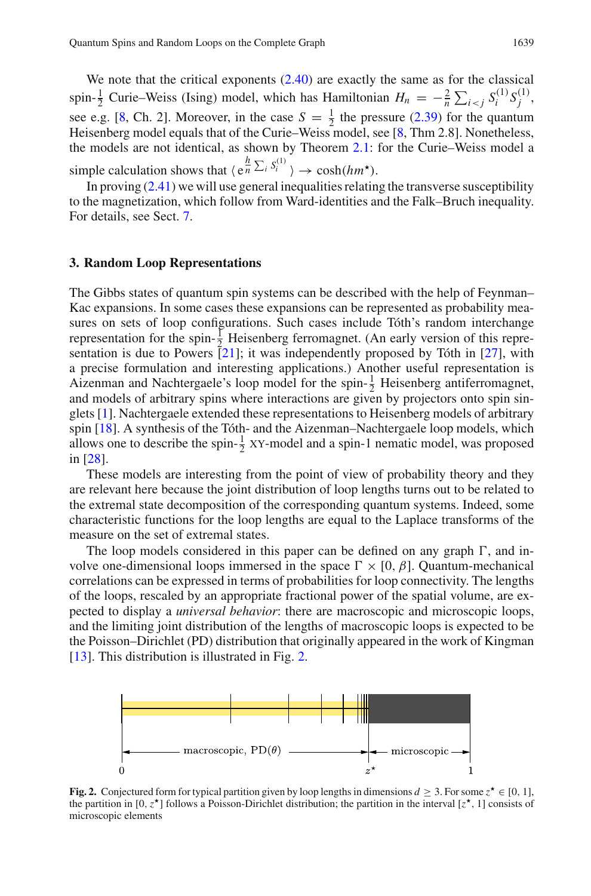We note that the critical exponents  $(2.40)$  are exactly the same as for the classical spin- $\frac{1}{2}$  Curie–Weiss (Ising) model, which has Hamiltonian  $H_n = -\frac{2}{n} \sum_{i < j} S_i^{(1)} S_j^{(1)}$ , see e.g. [\[8](#page-34-11), Ch. 2]. Moreover, in the case  $S = \frac{1}{2}$  the pressure [\(2.39\)](#page-9-4) for the quantum Heisenberg model equals that of the Curie–Weiss model, see [\[8](#page-34-11), Thm 2.8]. Nonetheless, the models are not identical, as shown by Theorem [2.1:](#page-5-0) for the Curie–Weiss model a simple calculation shows that  $\langle e^{h \over n} \Sigma_i S_i^{(1)} \rangle \rightarrow \cosh(hm^{\star}).$ 

In proving  $(2.41)$  we will use general inequalities relating the transverse susceptibility to the magnetization, which follow from Ward-identities and the Falk–Bruch inequality. For details, see Sect. [7.](#page-24-0)

#### <span id="page-10-0"></span>**3. Random Loop Representations**

The Gibbs states of quantum spin systems can be described with the help of Feynman– Kac expansions. In some cases these expansions can be represented as probability measures on sets of loop configurations. Such cases include Tóth's random interchange representation for the spin- $\frac{1}{2}$  Heisenberg ferromagnet. (An early version of this representation is due to Powers  $\overline{[21]}$  $\overline{[21]}$  $\overline{[21]}$ ; it was independently proposed by Tóth in  $\overline{[27]}$  $\overline{[27]}$  $\overline{[27]}$ , with a precise formulation and interesting applications.) Another useful representation is Aizenman and Nachtergaele's loop model for the spin- $\frac{1}{2}$  Heisenberg antiferromagnet, and models of arbitrary spins where interactions are given by projectors onto spin singlets [\[1\]](#page-34-14). Nachtergaele extended these representations to Heisenberg models of arbitrary spin [\[18\]](#page-34-3). A synthesis of the Tóth- and the Aizenman–Nachtergaele loop models, which allows one to describe the spin- $\frac{1}{2}$  XY-model and a spin-1 nematic model, was proposed in [\[28](#page-34-15)].

These models are interesting from the point of view of probability theory and they are relevant here because the joint distribution of loop lengths turns out to be related to the extremal state decomposition of the corresponding quantum systems. Indeed, some characteristic functions for the loop lengths are equal to the Laplace transforms of the measure on the set of extremal states.

The loop models considered in this paper can be defined on any graph  $\Gamma$ , and involve one-dimensional loops immersed in the space  $\Gamma \times [0, \beta]$ . Quantum-mechanical correlations can be expressed in terms of probabilities for loop connectivity. The lengths of the loops, rescaled by an appropriate fractional power of the spatial volume, are expected to display a *universal behavior*: there are macroscopic and microscopic loops, and the limiting joint distribution of the lengths of macroscopic loops is expected to be the Poisson–Dirichlet (PD) distribution that originally appeared in the work of Kingman [\[13\]](#page-34-16). This distribution is illustrated in Fig. [2.](#page-10-1)



<span id="page-10-1"></span>**Fig. 2.** Conjectured form for typical partition given by loop lengths in dimensions  $d \geq 3$ . For some  $z^* \in [0, 1]$ , the partition in [0,  $z^*$ ] follows a Poisson-Dirichlet distribution; the partition in the interval  $[z^*, 1]$  consists of microscopic elements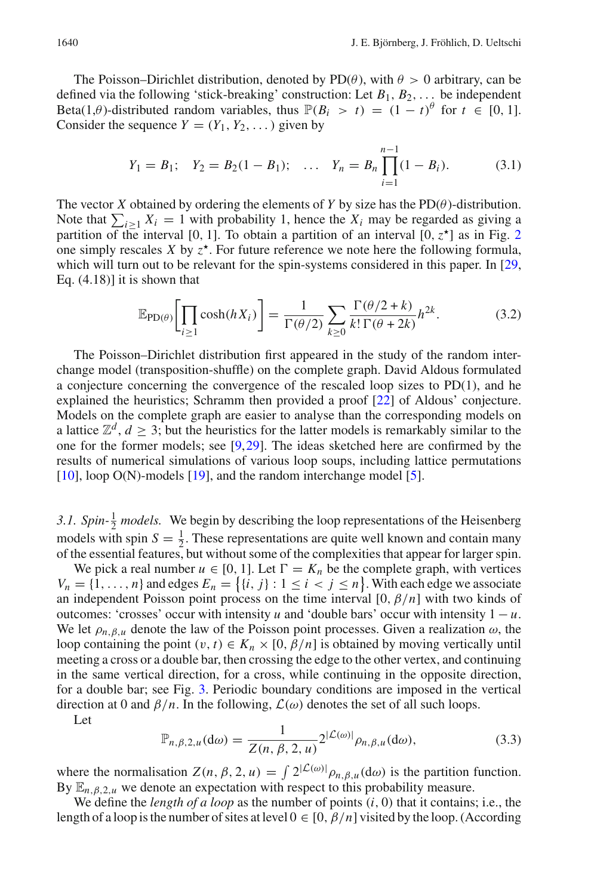The Poisson–Dirichlet distribution, denoted by  $PD(\theta)$ , with  $\theta > 0$  arbitrary, can be defined via the following 'stick-breaking' construction: Let *B*1, *B*2,... be independent Beta(1, $\theta$ )-distributed random variables, thus  $\mathbb{P}(B_i > t) = (1 - t)^{\theta}$  for  $t \in [0, 1]$ . Consider the sequence  $Y = (Y_1, Y_2, \dots)$  given by

$$
Y_1 = B_1;
$$
  $Y_2 = B_2(1 - B_1);$  ...,  $Y_n = B_n \prod_{i=1}^{n-1} (1 - B_i).$  (3.1)

The vector *X* obtained by ordering the elements of *Y* by size has the  $PD(\theta)$ -distribution. Note that  $\sum_{i\geq 1} X_i = 1$  with probability 1, hence the  $X_i$  may be regarded as giving a partition of the last in  $\sum_{i\geq 1}$ partition of the interval [0, 1]. To obtain a partition of an interval  $[0, z^{\star}]$  as in Fig. [2](#page-10-1) one simply rescales *X* by  $z^*$ . For future reference we note here the following formula, which will turn out to be relevant for the spin-systems considered in this paper. In [\[29](#page-34-17), Eq. (4.18)] it is shown that

<span id="page-11-1"></span>
$$
\mathbb{E}_{\text{PD}(\theta)}\bigg[\prod_{i\geq 1}\cosh(hX_i)\bigg] = \frac{1}{\Gamma(\theta/2)}\sum_{k\geq 0}\frac{\Gamma(\theta/2+k)}{k!\,\Gamma(\theta+2k)}h^{2k}.\tag{3.2}
$$

The Poisson–Dirichlet distribution first appeared in the study of the random interchange model (transposition-shuffle) on the complete graph. David Aldous formulated a conjecture concerning the convergence of the rescaled loop sizes to PD(1), and he explained the heuristics; Schramm then provided a proof [\[22](#page-34-18)] of Aldous' conjecture. Models on the complete graph are easier to analyse than the corresponding models on a lattice  $\mathbb{Z}^d$ ,  $d \geq 3$ ; but the heuristics for the latter models is remarkably similar to the one for the former models; see [\[9](#page-34-19)[,29](#page-34-17)]. The ideas sketched here are confirmed by the results of numerical simulations of various loop soups, including lattice permutations [\[10](#page-34-20)], loop O(N)-models [\[19\]](#page-34-21), and the random interchange model [\[5](#page-34-22)].

<span id="page-11-0"></span>3.1. Spin- $\frac{1}{2}$  *models*. We begin by describing the loop representations of the Heisenberg models with spin  $S = \frac{1}{2}$ . These representations are quite well known and contain many of the essential features, but without some of the complexities that appear for larger spin.

We pick a real number  $u \in [0, 1]$ . Let  $\Gamma = K_n$  be the complete graph, with vertices  $V_n = \{1, \ldots, n\}$  and edges  $E_n = \{ \{i, j\} : 1 \le i < j \le n \}$ . With each edge we associate an independent Poisson point process on the time interval [0, β/*n*] with two kinds of outcomes: 'crosses' occur with intensity *u* and 'double bars' occur with intensity  $1 - u$ . We let  $\rho_{n,\beta,u}$  denote the law of the Poisson point processes. Given a realization  $\omega$ , the loop containing the point  $(v, t) \in K_n \times [0, \beta/n]$  is obtained by moving vertically until meeting a cross or a double bar, then crossing the edge to the other vertex, and continuing in the same vertical direction, for a cross, while continuing in the opposite direction, for a double bar; see Fig. [3.](#page-12-1) Periodic boundary conditions are imposed in the vertical direction at 0 and  $\beta/n$ . In the following,  $\mathcal{L}(\omega)$  denotes the set of all such loops.

<span id="page-11-2"></span>Let

$$
\mathbb{P}_{n,\beta,2,u}(\mathrm{d}\omega) = \frac{1}{Z(n,\beta,2,u)} 2^{|\mathcal{L}(\omega)|} \rho_{n,\beta,u}(\mathrm{d}\omega),\tag{3.3}
$$

where the normalisation  $Z(n, \beta, 2, u) = \int 2^{|\mathcal{L}(\omega)|} \rho_{n, \beta, u}(\mathrm{d}\omega)$  is the partition function. By  $\mathbb{E}_{n,\beta,2,u}$  we denote an expectation with respect to this probability measure.

We define the *length of a loop* as the number of points (*i*, 0) that it contains; i.e., the length of a loop is the number of sites at level  $0 \in [0, \beta/n]$  visited by the loop. (According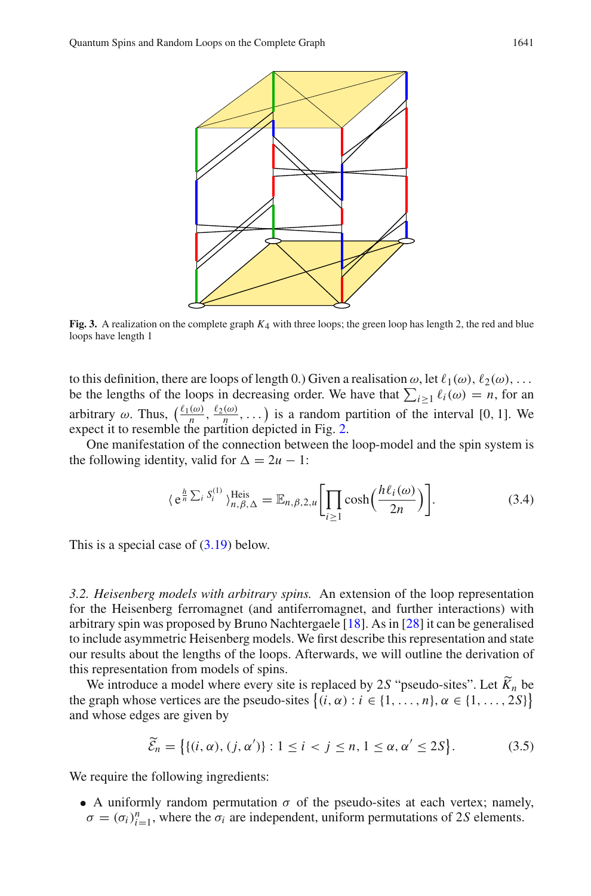

<span id="page-12-1"></span>**Fig. 3.** A realization on the complete graph *K*4 with three loops; the green loop has length 2, the red and blue loops have length 1

to this definition, there are loops of length 0.) Given a realisation  $\omega$ , let  $\ell_1(\omega)$ ,  $\ell_2(\omega)$ , ... be the lengths of the loops in decreasing order. We have that  $\sum_{i\geq 1} \ell_i(\omega) = n$ , for an arbitrary  $\omega$ . Thus,  $\left(\frac{\ell_1(\omega)}{n}, \frac{\ell_2(\omega)}{n}, \dots\right)$  is a random partition of the interval [0, 1]. We expect it to resemble the partition depicted in Fig. [2.](#page-10-1)

One manifestation of the connection between the loop-model and the spin system is the following identity, valid for  $\Delta = 2u - 1$ :

$$
\langle e^{\frac{h}{n}\sum_{i} S_{i}^{(1)}}\rangle_{n,\beta,\Delta}^{\text{Heis}} = \mathbb{E}_{n,\beta,2,u} \bigg[\prod_{i\geq 1} \cosh\left(\frac{h\ell_{i}(\omega)}{2n}\right)\bigg].\tag{3.4}
$$

This is a special case of [\(3.19\)](#page-15-1) below.

<span id="page-12-0"></span>*3.2. Heisenberg models with arbitrary spins.* An extension of the loop representation for the Heisenberg ferromagnet (and antiferromagnet, and further interactions) with arbitrary spin was proposed by Bruno Nachtergaele [\[18](#page-34-3)]. As in [\[28](#page-34-15)] it can be generalised to include asymmetric Heisenberg models. We first describe this representation and state our results about the lengths of the loops. Afterwards, we will outline the derivation of this representation from models of spins.

We introduce a model where every site is replaced by 2*S* "pseudo-sites". Let  $K_n$  be a replaced by  $2S$  "pseudo-sites". Let  $K_n$  be a replaced by  $2S(1)$ the graph whose vertices are the pseudo-sites  $\{(i, \alpha) : i \in \{1, ..., n\}, \alpha \in \{1, ..., 2S\}\}\$ and whose edges are given by

$$
\widetilde{\mathcal{E}}_n = \big\{ \{ (i, \alpha), (j, \alpha') \} : 1 \le i < j \le n, 1 \le \alpha, \alpha' \le 2S \big\}. \tag{3.5}
$$

We require the following ingredients:

• A uniformly random permutation  $\sigma$  of the pseudo-sites at each vertex; namely,  $\sigma = (\sigma_i)_{i=1}^n$ , where the  $\sigma_i$  are independent, uniform permutations of 2*S* elements.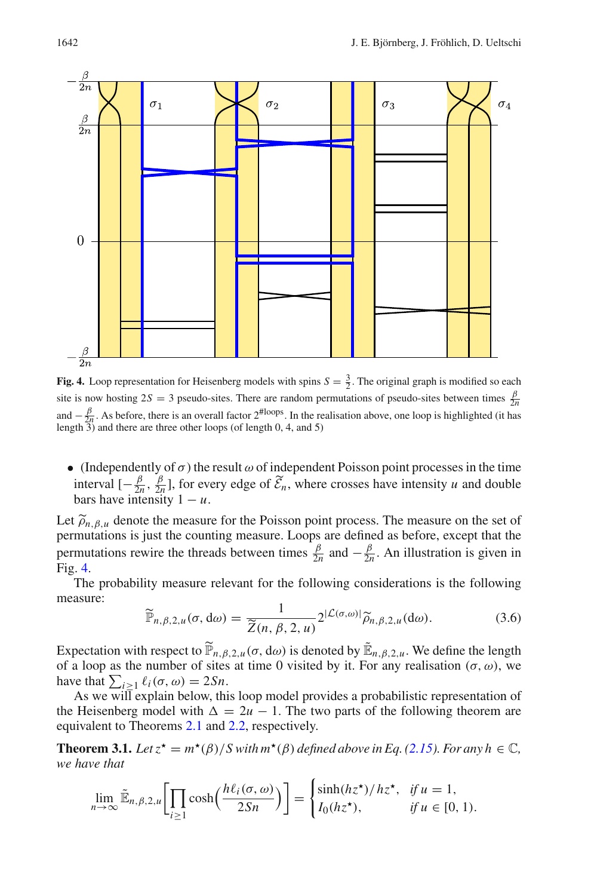

<span id="page-13-0"></span>**Fig. 4.** Loop representation for Heisenberg models with spins  $S = \frac{3}{2}$ . The original graph is modified so each site is now hosting  $2S = 3$  pseudo-sites. There are random permutations of pseudo-sites between times  $\frac{\beta}{2n}$ and  $-\frac{\beta}{2l}$ . As before, there is an overall factor  $2^{\text{floops}}$ . In the realisation above, one loop is highlighted (it has length  $\overline{3}$  and there are three other loops (of length 0, 4, and 5)

• (Independently of  $\sigma$ ) the result  $\omega$  of independent Poisson point processes in the time interval  $[-\frac{\beta}{2n}, \frac{\beta}{2n}]$ , for every edge of  $\tilde{\mathcal{E}}_n$ , where crosses have intensity *u* and double bars have intensity  $1 - u$ .

Let  $\tilde{\rho}_{n,\beta,u}$  denote the measure for the Poisson point process. The measure on the set of permutations is just the counting measure. Loops are defined as before, except that the permutations rewire the threads between times  $\frac{\beta}{2n}$  and  $-\frac{\beta}{2n}$ . An illustration is given in Fig. [4.](#page-13-0)

The probability measure relevant for the following considerations is the following measure:

$$
\widetilde{\mathbb{P}}_{n,\beta,2,u}(\sigma,\mathrm{d}\omega) = \frac{1}{\widetilde{Z}(n,\beta,2,u)} 2^{|\mathcal{L}(\sigma,\omega)|} \widetilde{\rho}_{n,\beta,2,u}(\mathrm{d}\omega). \tag{3.6}
$$

Expectation with respect to  $\widetilde{P}_{n,\beta,2,u}(\sigma, d\omega)$  is denoted by  $\widetilde{E}_{n,\beta,2,u}$ . We define the length of a loop as the number of sites at time 0 visited by it. For any realisation  $(\sigma, \omega)$ , we of a loop as the number of sites at time 0 visited by it. For any realisation  $(\sigma, \omega)$ , we have that  $\sum_{i \geq 1} \ell_i(\sigma, \omega) = 2Sn$ .

As we will explain below, this loop model provides a probabilistic representation of the Heisenberg model with  $\Delta = 2u - 1$ . The two parts of the following theorem are equivalent to Theorems [2.1](#page-5-0) and [2.2,](#page-6-0) respectively.

<span id="page-13-1"></span>**Theorem 3.1.** Let  $z^* = m^*(\beta)/S$  with  $m^*(\beta)$  defined above in Eq. [\(2.15\)](#page-5-1). For any  $h \in \mathbb{C}$ , *we have that*

$$
\lim_{n\to\infty}\tilde{\mathbb{E}}_{n,\beta,2,u}\bigg[\prod_{i\geq 1}\cosh\bigg(\frac{h\ell_i(\sigma,\omega)}{2Sn}\bigg)\bigg]=\begin{cases}\sinh(hz^{\star})/hz^{\star}, & \text{if }u=1,\\I_0(hz^{\star}), & \text{if }u\in[0,1).\end{cases}
$$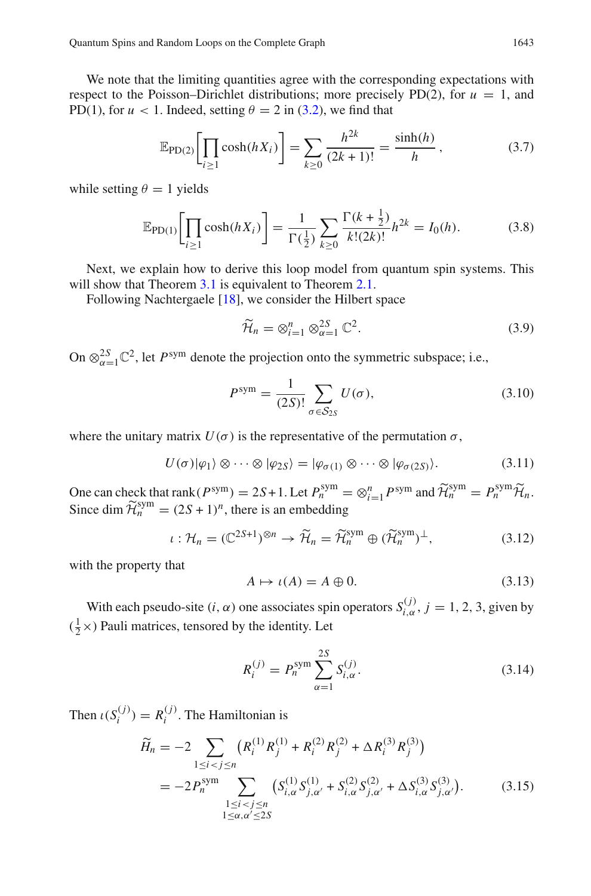We note that the limiting quantities agree with the corresponding expectations with respect to the Poisson–Dirichlet distributions; more precisely PD(2), for  $u = 1$ , and PD(1), for  $u < 1$ . Indeed, setting  $\theta = 2$  in [\(3.2\)](#page-11-1), we find that

$$
\mathbb{E}_{\text{PD}(2)}\bigg[\prod_{i\geq 1}\cosh(hX_i)\bigg] = \sum_{k\geq 0} \frac{h^{2k}}{(2k+1)!} = \frac{\sinh(h)}{h},\tag{3.7}
$$

while setting  $\theta = 1$  yields

$$
\mathbb{E}_{\text{PD}(1)}\bigg[\prod_{i\geq 1}\cosh(hX_i)\bigg] = \frac{1}{\Gamma(\frac{1}{2})}\sum_{k\geq 0}\frac{\Gamma(k+\frac{1}{2})}{k!(2k)!}h^{2k} = I_0(h). \tag{3.8}
$$

Next, we explain how to derive this loop model from quantum spin systems. This will show that Theorem [3.1](#page-13-1) is equivalent to Theorem [2.1.](#page-5-0)

Following Nachtergaele [\[18](#page-34-3)], we consider the Hilbert space

$$
\widetilde{\mathcal{H}}_n = \otimes_{i=1}^n \otimes_{\alpha=1}^{2S} \mathbb{C}^2.
$$
\n(3.9)

On  $\otimes_{\alpha=1}^{2S} \mathbb{C}^2$ , let *P*<sup>sym</sup> denote the projection onto the symmetric subspace; i.e.,

$$
P^{\text{sym}} = \frac{1}{(2S)!} \sum_{\sigma \in \mathcal{S}_{2S}} U(\sigma), \tag{3.10}
$$

where the unitary matrix  $U(\sigma)$  is the representative of the permutation  $\sigma$ ,

$$
U(\sigma)|\varphi_1\rangle \otimes \cdots \otimes |\varphi_{2S}\rangle = |\varphi_{\sigma(1)} \otimes \cdots \otimes |\varphi_{\sigma(2S)}\rangle.
$$
 (3.11)

One can check that rank  $(P^{\text{sym}}) = 2S + 1$ . Let  $P^{\text{sym}}_n = \otimes_{i=1}^n P^{\text{sym}}$  and  $\widetilde{\mathcal{H}}^{\text{sym}}_n = P^{\text{sym}}_n \widetilde{\mathcal{H}}_n$ . Since dim  $\widetilde{\mathcal{H}}_n^{\text{sym}} = (2S + 1)^n$ , there is an embedding

$$
\iota: \mathcal{H}_n = (\mathbb{C}^{2S+1})^{\otimes n} \to \widetilde{\mathcal{H}}_n = \widetilde{\mathcal{H}}_n^{\mathrm{sym}} \oplus (\widetilde{\mathcal{H}}_n^{\mathrm{sym}})^{\perp},\tag{3.12}
$$

with the property that

$$
A \mapsto \iota(A) = A \oplus 0. \tag{3.13}
$$

With each pseudo-site  $(i, \alpha)$  one associates spin operators  $S_{i,\alpha}^{(j)}$ ,  $j = 1, 2, 3$ , given by  $(\frac{1}{2} \times)$  Pauli matrices, tensored by the identity. Let

$$
R_i^{(j)} = P_n^{\text{sym}} \sum_{\alpha=1}^{2S} S_{i,\alpha}^{(j)}.
$$
 (3.14)

Then  $\iota(S_i^{(j)}) = R_i^{(j)}$ . The Hamiltonian is

$$
\widetilde{H}_n = -2 \sum_{1 \le i < j \le n} \left( R_i^{(1)} R_j^{(1)} + R_i^{(2)} R_j^{(2)} + \Delta R_i^{(3)} R_j^{(3)} \right)
$$
\n
$$
= -2 P_n^{\text{sym}} \sum_{\substack{1 \le i < j \le n \\ 1 \le \alpha, \alpha' \le 2S}} \left( S_{i,\alpha}^{(1)} S_{j,\alpha'}^{(1)} + S_{i,\alpha}^{(2)} S_{j,\alpha'}^{(2)} + \Delta S_{i,\alpha}^{(3)} S_{j,\alpha'}^{(3)} \right). \tag{3.15}
$$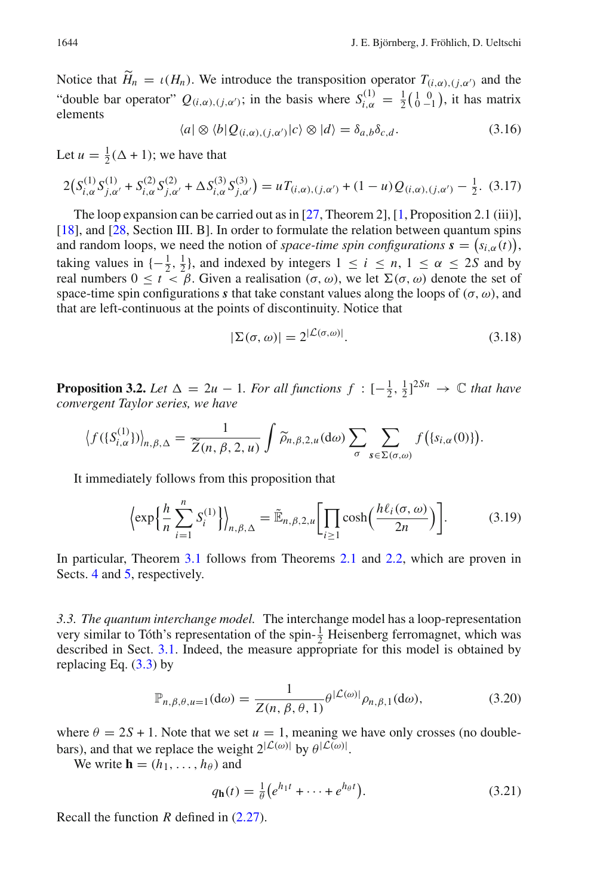Notice that  $H_n = \iota(H_n)$ . We introduce the transposition operator  $T_{(i,\alpha),(j,\alpha')}$  and the "double bar operator"  $Q_{(i,\alpha),(j,\alpha')}$ ; in the basis where  $S_{i,\alpha}^{(1)} = \frac{1}{2} \begin{pmatrix} 1 & 0 \\ 0 & -1 \end{pmatrix}$ , it has matrix elements

$$
\langle a | \otimes \langle b | Q_{(i,\alpha),(j,\alpha')} | c \rangle \otimes | d \rangle = \delta_{a,b} \delta_{c,d}.
$$
 (3.16)

Let  $u = \frac{1}{2}(\Delta + 1)$ ; we have that

$$
2\big(S_{i,\alpha}^{(1)}S_{j,\alpha'}^{(1)} + S_{i,\alpha}^{(2)}S_{j,\alpha'}^{(2)} + \Delta S_{i,\alpha}^{(3)}S_{j,\alpha'}^{(3)}\big) = uT_{(i,\alpha),(j,\alpha')} + (1-u)Q_{(i,\alpha),(j,\alpha')} - \frac{1}{2}.
$$
 (3.17)

The loop expansion can be carried out as in [\[27,](#page-34-13) Theorem 2], [\[1,](#page-34-14) Proposition 2.1 (iii)], [\[18](#page-34-3)], and [\[28,](#page-34-15) Section III. B]. In order to formulate the relation between quantum spins and random loops, we need the notion of *space-time spin configurations*  $\mathbf{s} = (s_{i,\alpha}(t)),$ taking values in  $\{-\frac{1}{2}, \frac{1}{2}\}$ , and indexed by integers  $1 \le i \le n, 1 \le \alpha \le 2S$  and by real numbers  $0 \le t < \beta$ . Given a realisation  $(\sigma, \omega)$ , we let  $\Sigma(\sigma, \omega)$  denote the set of space-time spin configurations *s* that take constant values along the loops of  $(\sigma, \omega)$ , and that are left-continuous at the points of discontinuity. Notice that

<span id="page-15-1"></span>
$$
|\Sigma(\sigma,\omega)| = 2^{|\mathcal{L}(\sigma,\omega)|}.
$$
\n(3.18)

<span id="page-15-2"></span>**Proposition 3.2.** Let  $\Delta = 2u - 1$ . For all functions  $f : [-\frac{1}{2}, \frac{1}{2}]^{2Sn} \rightarrow \mathbb{C}$  that have *convergent Taylor series, we have*

$$
\left\langle f(\{S_{i,\alpha}^{(1)}\})\right\rangle_{n,\beta,\Delta} = \frac{1}{\widetilde{Z}(n,\beta,2,u)} \int \widetilde{\rho}_{n,\beta,2,u}(\mathrm{d}\omega) \sum_{\sigma} \sum_{s \in \Sigma(\sigma,\omega)} f(\{s_{i,\alpha}(0)\}).
$$

It immediately follows from this proposition that

$$
\left\langle \exp\left\{ \frac{h}{n} \sum_{i=1}^{n} S_i^{(1)} \right\} \right\rangle_{n,\beta,\Delta} = \tilde{\mathbb{E}}_{n,\beta,2,u} \left[ \prod_{i \ge 1} \cosh\left(\frac{h\ell_i(\sigma,\omega)}{2n}\right) \right].
$$
 (3.19)

In particular, Theorem [3.1](#page-13-1) follows from Theorems [2.1](#page-5-0) and [2.2,](#page-6-0) which are proven in Sects. [4](#page-17-0) and [5,](#page-19-0) respectively.

<span id="page-15-0"></span>*3.3. The quantum interchange model.* The interchange model has a loop-representation very similar to Tóth's representation of the spin- $\frac{1}{2}$  Heisenberg ferromagnet, which was described in Sect. [3.1.](#page-11-0) Indeed, the measure appropriate for this model is obtained by replacing Eq.  $(3.3)$  by

$$
\mathbb{P}_{n,\beta,\theta,u=1}(\mathrm{d}\omega) = \frac{1}{Z(n,\beta,\theta,1)}\theta^{|\mathcal{L}(\omega)|}\rho_{n,\beta,1}(\mathrm{d}\omega),\tag{3.20}
$$

where  $\theta = 2S + 1$ . Note that we set  $u = 1$ , meaning we have only crosses (no doublebars), and that we replace the weight  $2^{\lvert \mathcal{L}(\omega) \rvert}$  by  $\theta^{\lvert \mathcal{L}(\omega) \rvert}$ .

We write  $\mathbf{h} = (h_1, \ldots, h_\theta)$  and

<span id="page-15-4"></span>
$$
q_{\mathbf{h}}(t) = \frac{1}{\theta} \left( e^{h_1 t} + \dots + e^{h_\theta t} \right). \tag{3.21}
$$

<span id="page-15-3"></span>Recall the function *R* defined in [\(2.27\)](#page-7-2).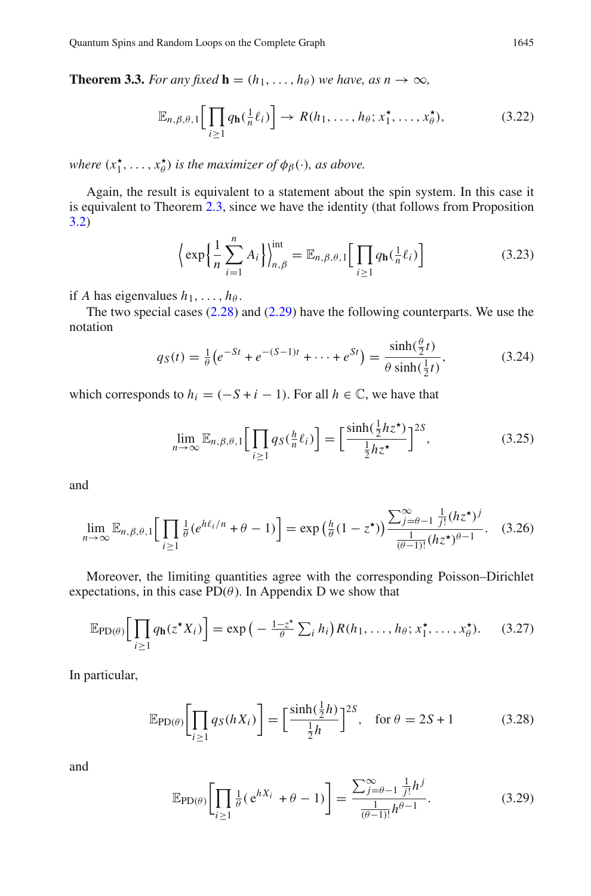**Theorem 3.3.** *For any fixed*  $\mathbf{h} = (h_1, \ldots, h_{\theta})$  *we have, as*  $n \to \infty$ *,* 

<span id="page-16-3"></span>
$$
\mathbb{E}_{n,\beta,\theta,1}\bigg[\prod_{i\geq 1}q_{\mathbf{h}}(\tfrac{1}{n}\ell_i)\bigg]\to R(h_1,\ldots,h_\theta;x_1^\star,\ldots,x_\theta^\star),\tag{3.22}
$$

*where*  $(x_1^{\star}, \ldots, x_{\theta}^{\star})$  *is the maximizer of*  $\phi_{\beta}(\cdot)$ *, as above.* 

Again, the result is equivalent to a statement about the spin system. In this case it is equivalent to Theorem [2.3,](#page-7-1) since we have the identity (that follows from Proposition [3.2\)](#page-15-2)

$$
\left\langle \exp\left\{ \frac{1}{n} \sum_{i=1}^{n} A_i \right\} \right\rangle_{n,\beta}^{\text{int}} = \mathbb{E}_{n,\beta,\theta,1} \Big[ \prod_{i \ge 1} q_{\mathbf{h}}(\tfrac{1}{n} \ell_i) \Big] \tag{3.23}
$$

if *A* has eigenvalues  $h_1, \ldots, h_\theta$ .

The two special cases  $(2.28)$  and  $(2.29)$  have the following counterparts. We use the notation

$$
q_S(t) = \frac{1}{\theta} \left( e^{-St} + e^{-(S-1)t} + \dots + e^{St} \right) = \frac{\sinh(\frac{\theta}{2}t)}{\theta \sinh(\frac{1}{2}t)},
$$
(3.24)

which corresponds to  $h_i = (-S + i - 1)$ . For all  $h \in \mathbb{C}$ , we have that

<span id="page-16-1"></span>
$$
\lim_{n \to \infty} \mathbb{E}_{n,\beta,\theta,1} \Big[ \prod_{i \ge 1} q_S(\frac{h}{n}\ell_i) \Big] = \Big[ \frac{\sinh(\frac{1}{2}hz^{\star})}{\frac{1}{2}hz^{\star}} \Big]^{2S},\tag{3.25}
$$

<span id="page-16-2"></span>and

$$
\lim_{n\to\infty} \mathbb{E}_{n,\beta,\theta,1} \Big[ \prod_{i\geq 1} \frac{1}{\theta} (e^{h\ell_i/n} + \theta - 1) \Big] = \exp\left(\frac{h}{\theta} (1 - z^{\star})\right) \frac{\sum_{j=\theta-1}^{\infty} \frac{1}{j!} (h z^{\star})^j}{\frac{1}{(\theta-1)!} (h z^{\star})^{\theta-1}}. \tag{3.26}
$$

Moreover, the limiting quantities agree with the corresponding Poisson–Dirichlet expectations, in this case  $PD(\theta)$ . In Appendix D we show that

$$
\mathbb{E}_{\text{PD}(\theta)}\Big[\prod_{i\geq 1} q_{\mathbf{h}}(z^{\star}X_i)\Big] = \exp\big(-\tfrac{1-z^{\star}}{\theta}\sum_i h_i\big)R(h_1,\ldots,h_\theta;x_1^{\star},\ldots,x_\theta^{\star}).\tag{3.27}
$$

In particular,

<span id="page-16-0"></span>
$$
\mathbb{E}_{\text{PD}(\theta)}\bigg[\prod_{i\geq 1} q_S(hX_i)\bigg] = \bigg[\frac{\sinh(\frac{1}{2}h)}{\frac{1}{2}h}\bigg]^{2S}, \quad \text{for } \theta = 2S + 1 \tag{3.28}
$$

and

$$
\mathbb{E}_{\text{PD}(\theta)} \bigg[ \prod_{i \ge 1} \frac{1}{\theta} (e^{hX_i} + \theta - 1) \bigg] = \frac{\sum_{j=\theta-1}^{\infty} \frac{1}{j!} h^j}{\frac{1}{(\theta-1)!} h^{\theta-1}}.
$$
 (3.29)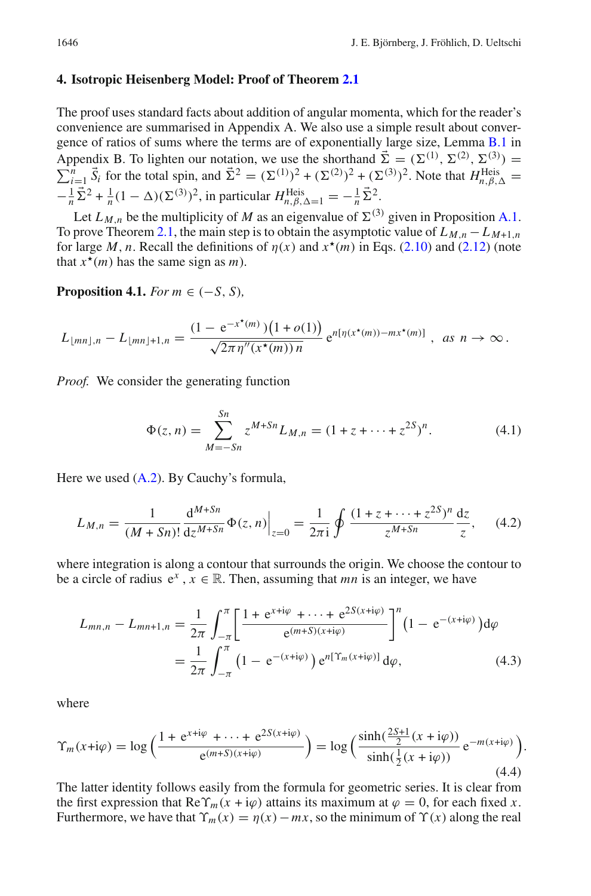#### <span id="page-17-0"></span>**4. Isotropic Heisenberg Model: Proof of Theorem [2.1](#page-5-0)**

The proof uses standard facts about addition of angular momenta, which for the reader's convenience are summarised in Appendix A. We also use a simple result about convergence of ratios of sums where the terms are of exponentially large size, Lemma [B.1](#page-30-1) in Appendix B. To lighten our notation, we use the shorthand  $\vec{\Sigma} = (\Sigma^{(1)}, \Sigma^{(2)}, \Sigma^{(3)})$ Appendix B. To lighten our notation, we use the shorthand  $\Sigma = (\Sigma^{(1)}, \Sigma^{(2)}, \Sigma^{(3)}) = \sum_{i=1}^{n} \vec{S}_i$  for the total spin, and  $\vec{\Sigma}^2 = (\Sigma^{(1)})^2 + (\Sigma^{(2)})^2 + (\Sigma^{(3)})^2$ . Note that  $H_{n,\beta,\Delta}^{\text{Heis}} =$  $\sum_{i=1}^{n} \bar{S}_i$  for the total spin, and  $\bar{\Sigma}^2 = (\Sigma^{(1)})^2 + (\Sigma^{(2)})^2 + (\Sigma^{(3)})^2$ . Note that  $H_{n,\beta,\Delta}^{\text{Heis}} =$  $-\frac{1}{n}\vec{\Sigma}^2 + \frac{1}{n}(1-\Delta)(\Sigma^{(3)})^2$ , in particular  $H_{n,\beta,\Delta=1}^{\text{Heis}} = -\frac{1}{n}\vec{\Sigma}^2$ .

Let  $L_{M,n}$  be the multiplicity of *M* as an eigenvalue of  $\Sigma^{(3)}$  given in Proposition [A.1.](#page-28-2) To prove Theorem [2.1,](#page-5-0) the main step is to obtain the asymptotic value of  $L_{M,n} - L_{M+1,n}$ for large *M*, *n*. Recall the definitions of  $\eta(x)$  and  $x^*(m)$  in Eqs. [\(2.10\)](#page-4-1) and [\(2.12\)](#page-5-5) (note that  $x^*(m)$  has the same sign as *m*).

<span id="page-17-1"></span>**Proposition 4.1.** *For*  $m \in (-S, S)$ ,

$$
L_{\lfloor mn\rfloor,n}-L_{\lfloor mn\rfloor+1,n}=\frac{(1-e^{-x^*(m)})\big(1+o(1)\big)}{\sqrt{2\pi\eta''(x^*(m))n}}e^{n[\eta(x^*(m))-mx^*(m)]}, \text{ as } n\to\infty.
$$

*Proof.* We consider the generating function

$$
\Phi(z,n) = \sum_{M=-Sn}^{Sn} z^{M+Sn} L_{M,n} = (1 + z + \dots + z^{2S})^n.
$$
 (4.1)

Here we used [\(A.2\)](#page-29-0). By Cauchy's formula,

$$
L_{M,n} = \frac{1}{(M+Sn)!} \frac{d^{M+Sn}}{dz^{M+Sn}} \Phi(z,n) \Big|_{z=0} = \frac{1}{2\pi i} \oint \frac{(1+z+\dots+z^{2S})^n}{z^{M+Sn}} \frac{dz}{z}, \quad (4.2)
$$

where integration is along a contour that surrounds the origin. We choose the contour to be a circle of radius  $e^x$ ,  $x \in \mathbb{R}$ . Then, assuming that *mn* is an integer, we have

$$
L_{mn,n} - L_{mn+1,n} = \frac{1}{2\pi} \int_{-\pi}^{\pi} \left[ \frac{1 + e^{x + i\varphi} + \dots + e^{2S(x + i\varphi)}}{e^{(m+S)(x + i\varphi)}} \right]^n (1 - e^{-(x + i\varphi)}) d\varphi
$$
  
= 
$$
\frac{1}{2\pi} \int_{-\pi}^{\pi} (1 - e^{-(x + i\varphi)}) e^{n[\Upsilon_m(x + i\varphi)]} d\varphi,
$$
 (4.3)

where

$$
\Upsilon_m(x+i\varphi) = \log\left(\frac{1 + e^{x+i\varphi} + \dots + e^{2S(x+i\varphi)}}{e^{(m+S)(x+i\varphi)}}\right) = \log\left(\frac{\sinh(\frac{2S+1}{2}(x+i\varphi))}{\sinh(\frac{1}{2}(x+i\varphi))}e^{-m(x+i\varphi)}\right).
$$
\n(4.4)

The latter identity follows easily from the formula for geometric series. It is clear from the first expression that  $\text{Re}\,\Upsilon_m(x+i\varphi)$  attains its maximum at  $\varphi=0$ , for each fixed *x*. Furthermore, we have that  $\Upsilon_m(x) = \eta(x) - mx$ , so the minimum of  $\Upsilon(x)$  along the real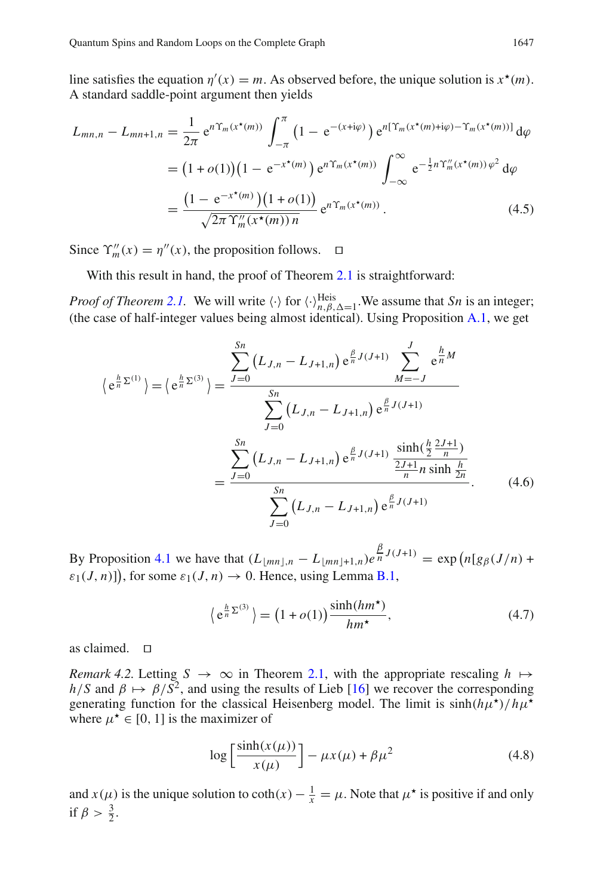line satisfies the equation  $\eta'(x) = m$ . As observed before, the unique solution is  $x^*(m)$ . A standard saddle-point argument then yields

$$
L_{mn,n} - L_{mn+1,n} = \frac{1}{2\pi} e^{n\Upsilon_m(x^*(m))} \int_{-\pi}^{\pi} \left(1 - e^{-(x+i\varphi)}\right) e^{n[\Upsilon_m(x^*(m)+i\varphi) - \Upsilon_m(x^*(m))]} d\varphi
$$
  

$$
= (1+o(1)) (1 - e^{-x^*(m)}) e^{n\Upsilon_m(x^*(m))} \int_{-\infty}^{\infty} e^{-\frac{1}{2}n\Upsilon_m''(x^*(m))} \varphi^2 d\varphi
$$
  

$$
= \frac{(1 - e^{-x^*(m)}) (1+o(1))}{\sqrt{2\pi \Upsilon_m''(x^*(m))n}} e^{n\Upsilon_m(x^*(m))}.
$$
 (4.5)

Since  $\Upsilon_m''(x) = \eta''(x)$ , the proposition follows.  $\Box$ 

With this result in hand, the proof of Theorem [2.1](#page-5-0) is straightforward:

*Proof of Theorem [2.1.](#page-5-0)* We will write  $\langle \cdot \rangle$  for  $\langle \cdot \rangle_{n,\beta,\Delta=1}^{\text{Heis}}$ . We assume that *Sn* is an integer; (the case of half-integer values being almost identical). Using Proposition [A.1,](#page-28-2) we get

$$
\langle e^{\frac{h}{n}\Sigma^{(1)}}\rangle = \langle e^{\frac{h}{n}\Sigma^{(3)}}\rangle = \frac{\sum_{J=0}^{Sn} (L_{J,n} - L_{J+1,n}) e^{\frac{\beta}{n}J(J+1)}}{\sum_{J=0}^{Sn} (L_{J,n} - L_{J+1,n}) e^{\frac{\beta}{n}J(J+1)}}
$$

$$
= \frac{\sum_{J=0}^{Sn} (L_{J,n} - L_{J+1,n}) e^{\frac{\beta}{n}J(J+1)}}{\sum_{J=0}^{Sn} (L_{J,n} - L_{J+1,n}) e^{\frac{\beta}{n}J(J+1)}} \frac{\sinh(\frac{h}{2} \frac{2J+1}{n})}{\frac{2J+1}{n} n \sinh \frac{h}{2n}}}{\sum_{J=0}^{Sn} (L_{J,n} - L_{J+1,n}) e^{\frac{\beta}{n}J(J+1)}}.
$$
(4.6)

By Proposition [4.1](#page-17-1) we have that  $(L_{\lfloor mn \rfloor,n} - L_{\lfloor mn \rfloor+1,n})e^{\frac{\beta}{n}J(J+1)} = \exp(n[g_{\beta}(J/n) +$  $\varepsilon_1(J, n)$ ]), for some  $\varepsilon_1(J, n) \to 0$ . Hence, using Lemma [B.1,](#page-30-1)

$$
\left\langle e^{\frac{h}{n}\Sigma^{(3)}}\right\rangle = \left(1 + o(1)\right) \frac{\sinh(hm^*)}{hm^*},\tag{4.7}
$$

as claimed.  $\square$ 

*Remark 4.2.* Letting  $S \rightarrow \infty$  in Theorem [2.1,](#page-5-0) with the appropriate rescaling  $h \mapsto$  $h/S$  and  $\beta \mapsto \beta/\overline{S^2}$ , and using the results of Lieb [\[16\]](#page-34-23) we recover the corresponding generating function for the classical Heisenberg model. The limit is  $\sinh(h\mu^*)/h\mu^*$ where  $\mu^* \in [0, 1]$  is the maximizer of

$$
\log\left[\frac{\sinh(x(\mu))}{x(\mu)}\right] - \mu x(\mu) + \beta \mu^2 \tag{4.8}
$$

and  $x(\mu)$  is the unique solution to  $\coth(x) - \frac{1}{x} = \mu$ . Note that  $\mu^*$  is positive if and only if  $\beta > \frac{3}{2}$ .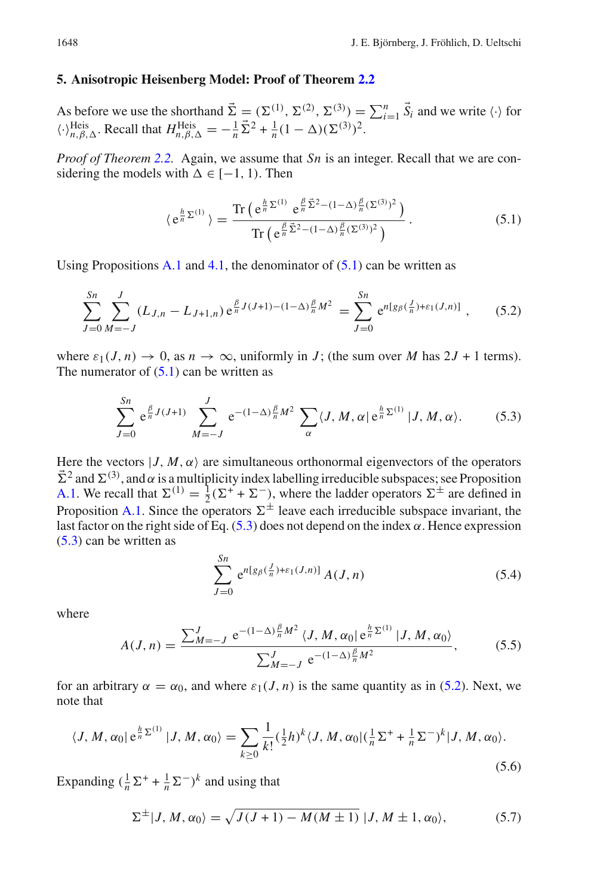#### <span id="page-19-0"></span>**5. Anisotropic Heisenberg Model: Proof of Theorem [2.2](#page-6-0)**

As before we use the shorthand  $\vec{\Sigma} = (\Sigma^{(1)}, \Sigma^{(2)}, \Sigma^{(3)}) = \sum_{i=1}^{n} \vec{S}_i$  and we write  $\langle \cdot \rangle$  for  $\langle \cdot \rangle_{n, \beta, \Delta}^{\text{Heis}}$ . Recall that  $H_{n, \beta, \Delta}^{\text{Heis}} = -\frac{1}{n} \bar{\Sigma}^2 + \frac{1}{n} (1 - \Delta) (\Sigma^{(3)})^2$ .

*Proof of Theorem [2.2.](#page-6-0)* Again, we assume that *Sn* is an integer. Recall that we are considering the models with  $\Delta \in [-1, 1)$ . Then

<span id="page-19-3"></span><span id="page-19-1"></span>
$$
\langle e^{\frac{h}{n}\Sigma^{(1)}} \rangle = \frac{\text{Tr}\left(e^{\frac{h}{n}\Sigma^{(1)}} e^{\frac{\beta}{n}\vec{\Sigma}^2 - (1-\Delta)\frac{\beta}{n}(\Sigma^{(3)})^2}\right)}{\text{Tr}\left(e^{\frac{\beta}{n}\vec{\Sigma}^2 - (1-\Delta)\frac{\beta}{n}(\Sigma^{(3)})^2}\right)}.
$$
(5.1)

Using Propositions [A.1](#page-28-2) and [4.1,](#page-17-1) the denominator of  $(5.1)$  can be written as

$$
\sum_{J=0}^{Sn} \sum_{M=-J}^{J} (L_{J,n} - L_{J+1,n}) e^{\frac{\beta}{n} J(J+1) - (1-\Delta)\frac{\beta}{n} M^2} = \sum_{J=0}^{Sn} e^{n[g_\beta(\frac{J}{n}) + \varepsilon_1(J,n)]}, \quad (5.2)
$$

where  $\varepsilon_1(J, n) \to 0$ , as  $n \to \infty$ , uniformly in *J*; (the sum over *M* has  $2J + 1$  terms). The numerator of  $(5.1)$  can be written as

<span id="page-19-2"></span>
$$
\sum_{J=0}^{Sn} e^{\frac{\beta}{n}J(J+1)} \sum_{M=-J}^{J} e^{-(1-\Delta)\frac{\beta}{n}M^2} \sum_{\alpha} \langle J, M, \alpha | e^{\frac{h}{n}\Sigma^{(1)}} | J, M, \alpha \rangle.
$$
 (5.3)

Here the vectors  $|J, M, \alpha\rangle$  are simultaneous orthonormal eigenvectors of the operators  $\bar{\Sigma}^2$  and  $\Sigma^{(3)}$ , and  $\alpha$  is a multiplicity index labelling irreducible subspaces; see Proposition [A.1.](#page-28-2) We recall that  $\Sigma^{(1)} = \frac{1}{2} (\Sigma^+ + \Sigma^-)$ , where the ladder operators  $\Sigma^{\pm}$  are defined in Proposition [A.1.](#page-28-2) Since the operators  $\Sigma^{\pm}$  leave each irreducible subspace invariant, the last factor on the right side of Eq.  $(5.3)$  does not depend on the index  $\alpha$ . Hence expression [\(5.3\)](#page-19-2) can be written as

<span id="page-19-5"></span>
$$
\sum_{J=0}^{Sn} e^{n[g_{\beta}(\frac{J}{n})+\varepsilon_1(J,n)]} A(J,n)
$$
\n(5.4)

where

$$
A(J, n) = \frac{\sum_{M=-J}^{J} e^{-(1-\Delta)\frac{\beta}{n}M^2} \langle J, M, \alpha_0 | e^{\frac{h}{n}\Sigma^{(1)}} | J, M, \alpha_0 \rangle}{\sum_{M=-J}^{J} e^{-(1-\Delta)\frac{\beta}{n}M^2}},
$$
(5.5)

for an arbitrary  $\alpha = \alpha_0$ , and where  $\varepsilon_1(J, n)$  is the same quantity as in [\(5.2\)](#page-19-3). Next, we note that

<span id="page-19-4"></span>
$$
\langle J, M, \alpha_0 | e^{\frac{h}{n} \Sigma^{(1)}} | J, M, \alpha_0 \rangle = \sum_{k \ge 0} \frac{1}{k!} (\frac{1}{2} h)^k \langle J, M, \alpha_0 | (\frac{1}{n} \Sigma^+ + \frac{1}{n} \Sigma^-)^k | J, M, \alpha_0 \rangle.
$$
\n(5.6)

Expanding  $\left(\frac{1}{n}\Sigma^+ + \frac{1}{n}\Sigma^-\right)^k$  and using that

$$
\Sigma^{\pm}|J, M, \alpha_0\rangle = \sqrt{J(J+1) - M(M\pm 1)} |J, M\pm 1, \alpha_0\rangle, \tag{5.7}
$$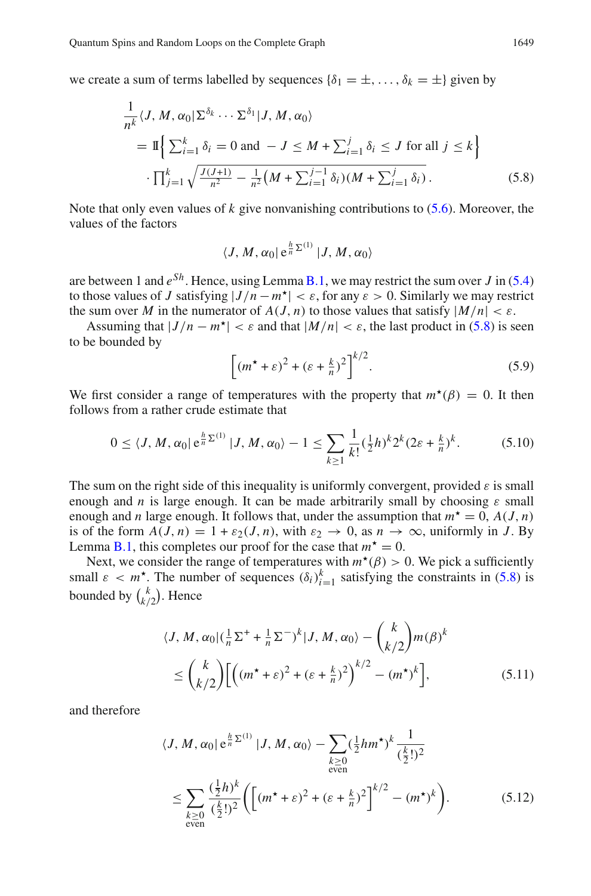we create a sum of terms labelled by sequences  $\{\delta_1 = \pm, \ldots, \delta_k = \pm\}$  given by

$$
\frac{1}{n^k} \langle J, M, \alpha_0 | \Sigma^{\delta_k} \cdots \Sigma^{\delta_1} | J, M, \alpha_0 \rangle
$$
\n
$$
= \mathbb{I} \Big\{ \sum_{i=1}^k \delta_i = 0 \text{ and } -J \le M + \sum_{i=1}^j \delta_i \le J \text{ for all } j \le k \Big\}
$$
\n
$$
\cdot \prod_{j=1}^k \sqrt{\frac{J(J+1)}{n^2} - \frac{1}{n^2} \big(M + \sum_{i=1}^{j-1} \delta_i\big) \big(M + \sum_{i=1}^j \delta_i\big)}.
$$
\n(5.8)

Note that only even values of *k* give nonvanishing contributions to [\(5.6\)](#page-19-4). Moreover, the values of the factors

<span id="page-20-0"></span>
$$
\langle J, M, \alpha_0 | \, \mathrm{e}^{\frac{h}{n} \Sigma^{(1)}} | J, M, \alpha_0 \rangle
$$

are between 1 and  $e^{Sh}$ . Hence, using Lemma [B.1,](#page-30-1) we may restrict the sum over *J* in [\(5.4\)](#page-19-5) to those values of *J* satisfying  $|J/n - m^*| < \varepsilon$ , for any  $\varepsilon > 0$ . Similarly we may restrict the sum over *M* in the numerator of  $A(J, n)$  to those values that satisfy  $|M/n| < \varepsilon$ .

Assuming that  $|J/n - m^*| < \varepsilon$  and that  $|M/n| < \varepsilon$ , the last product in [\(5.8\)](#page-20-0) is seen to be bounded by

$$
\left[ \left( m^{\star} + \varepsilon \right)^2 + \left( \varepsilon + \frac{k}{n} \right)^2 \right]^{k/2}.
$$
 (5.9)

We first consider a range of temperatures with the property that  $m^{\star}(\beta) = 0$ . It then follows from a rather crude estimate that

$$
0 \le \langle J, M, \alpha_0 | e^{\frac{h}{n} \Sigma^{(1)}} | J, M, \alpha_0 \rangle - 1 \le \sum_{k \ge 1} \frac{1}{k!} (\frac{1}{2} h)^k 2^k (2\varepsilon + \frac{k}{n})^k. \tag{5.10}
$$

The sum on the right side of this inequality is uniformly convergent, provided  $\varepsilon$  is small enough and *n* is large enough. It can be made arbitrarily small by choosing  $\varepsilon$  small enough and *n* large enough. It follows that, under the assumption that  $m^* = 0$ ,  $A(J, n)$ is of the form  $A(J, n) = 1 + \varepsilon_2(J, n)$ , with  $\varepsilon_2 \to 0$ , as  $n \to \infty$ , uniformly in *J*. By Lemma [B.1,](#page-30-1) this completes our proof for the case that  $m^* = 0$ .

Next, we consider the range of temperatures with  $m^*(\beta) > 0$ . We pick a sufficiently small  $\varepsilon < m^*$ . The number of sequences  $(\delta_i)_{i=1}^k$  satisfying the constraints in [\(5.8\)](#page-20-0) is bounded by  $\binom{k}{k/2}$ . Hence

$$
\langle J, M, \alpha_0 | (\frac{1}{n} \Sigma^+ + \frac{1}{n} \Sigma^-)^k | J, M, \alpha_0 \rangle - {k \choose k/2} m(\beta)^k
$$
  

$$
\leq {k \choose k/2} \Big[ \Big( (m^* + \varepsilon)^2 + (\varepsilon + \frac{k}{n})^2 \Big)^{k/2} - (m^*)^k \Big],
$$
 (5.11)

and therefore

$$
\langle J, M, \alpha_0 | e^{\frac{h}{n} \Sigma^{(1)}} | J, M, \alpha_0 \rangle - \sum_{\substack{k \ge 0 \\ \text{even}}} (\frac{1}{2} h m^{\star})^k \frac{1}{(\frac{k}{2}!)^2}
$$
  

$$
\leq \sum_{\substack{k \ge 0 \\ \text{even}}} \frac{(\frac{1}{2} h)^k}{(\frac{k}{2}!)^2} \Biggl( \Bigl[ (m^{\star} + \varepsilon)^2 + (\varepsilon + \frac{k}{n})^2 \Bigr]^{k/2} - (m^{\star})^k \Biggr). \tag{5.12}
$$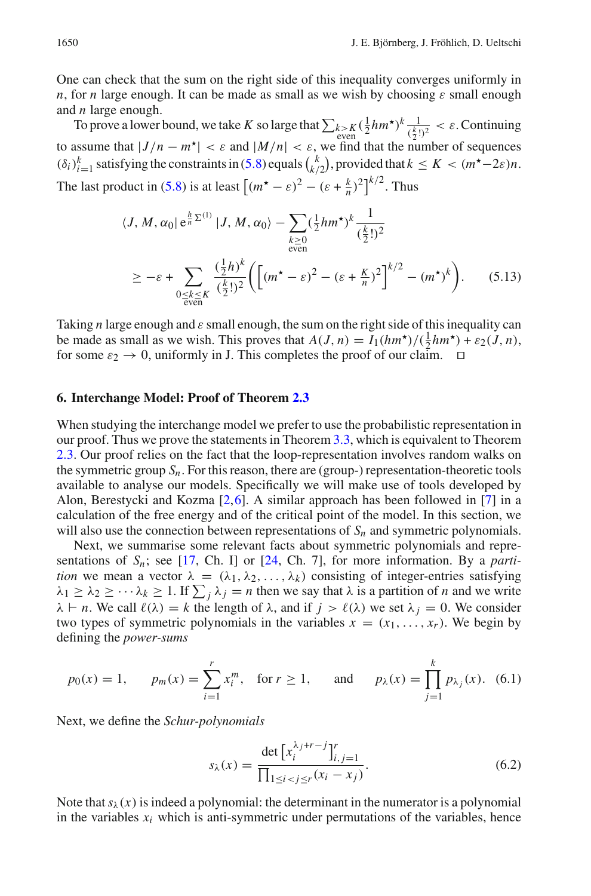One can check that the sum on the right side of this inequality converges uniformly in *n*, for *n* large enough. It can be made as small as we wish by choosing  $\varepsilon$  small enough and *n* large enough.

To prove a lower bound, we take *K* so large that  $\sum_{k>K} (\frac{1}{2}hm^{\star})^k \frac{1}{(\frac{k}{2}!)^2} < \varepsilon$ . Continuing to assume that  $|J/n - m^*| < \varepsilon$  and  $|M/n| < \varepsilon$ , we find that the number of sequences  $(\delta_i)_{i=1}^k$  satisfying the constraints in [\(5.8\)](#page-20-0) equals  $\binom{k}{k/2}$ , provided that  $k \leq K < (m^* - 2\varepsilon)n$ . The last product in [\(5.8\)](#page-20-0) is at least  $\left[ (m^* - \varepsilon)^2 - (\varepsilon + \frac{k}{n})^2 \right]^{k/2}$ . Thus

$$
\langle J, M, \alpha_0 | e^{\frac{h}{n} \Sigma^{(1)}} | J, M, \alpha_0 \rangle - \sum_{\substack{k \ge 0 \\ \text{even}}} (\frac{1}{2} h m^{\star})^k \frac{1}{(\frac{k}{2}!)^2}
$$
  

$$
\ge -\varepsilon + \sum_{\substack{0 \le k \le K \\ \text{even}}} \frac{(\frac{1}{2} h)^k}{(\frac{k}{2}!)^2} \Biggl( \Biggl[ (m^{\star} - \varepsilon)^2 - (\varepsilon + \frac{K}{n})^2 \Biggr]^{k/2} - (m^{\star})^k \Biggr). \tag{5.13}
$$

Taking *n* large enough and ε small enough, the sum on the right side of this inequality can be made as small as we wish. This proves that  $A(J, n) = I_1(hm^*)/(\frac{1}{2}hm^*) + \varepsilon_2(J, n)$ , for some  $\varepsilon_2 \to 0$ , uniformly in J. This completes the proof of our claim.

#### <span id="page-21-0"></span>**6. Interchange Model: Proof of Theorem [2.3](#page-7-1)**

When studying the interchange model we prefer to use the probabilistic representation in our proof. Thus we prove the statements in Theorem [3.3,](#page-15-3) which is equivalent to Theorem [2.3.](#page-7-1) Our proof relies on the fact that the loop-representation involves random walks on the symmetric group  $S_n$ . For this reason, there are (group-) representation-theoretic tools available to analyse our models. Specifically we will make use of tools developed by Alon, Berestycki and Kozma [\[2](#page-34-24),[6\]](#page-34-25). A similar approach has been followed in [\[7\]](#page-34-4) in a calculation of the free energy and of the critical point of the model. In this section, we will also use the connection between representations of  $S_n$  and symmetric polynomials.

Next, we summarise some relevant facts about symmetric polynomials and representations of  $S_n$ ; see [\[17,](#page-34-26) Ch. I] or [\[24,](#page-34-27) Ch. 7], for more information. By a *partition* we mean a vector  $\lambda = (\lambda_1, \lambda_2, \dots, \lambda_k)$  consisting of integer-entries satisfying  $\lambda_1 \geq \lambda_2 \geq \cdots \lambda_k \geq 1$ . If  $\sum_j \lambda_j = n$  then we say that  $\lambda$  is a partition of *n* and we write  $\lambda \vdash n$ . We call  $\ell(\lambda) = k$  the length of  $\lambda$ , and if  $j > \ell(\lambda)$  we set  $\lambda_j = 0$ . We consider two types of symmetric polynomials in the variables  $x = (x_1, \ldots, x_r)$ . We begin by defining the *power-sums*

$$
p_0(x) = 1
$$
,  $p_m(x) = \sum_{i=1}^r x_i^m$ , for  $r \ge 1$ , and  $p_\lambda(x) = \prod_{j=1}^k p_{\lambda_j}(x)$ . (6.1)

Next, we define the *Schur-polynomials*

<span id="page-21-1"></span>
$$
s_{\lambda}(x) = \frac{\det [x_i^{\lambda_j + r - j}]_{i,j=1}^r}{\prod_{1 \le i < j \le r} (x_i - x_j)}.
$$
\n(6.2)

Note that  $s_\lambda(x)$  is indeed a polynomial: the determinant in the numerator is a polynomial in the variables  $x_i$  which is anti-symmetric under permutations of the variables, hence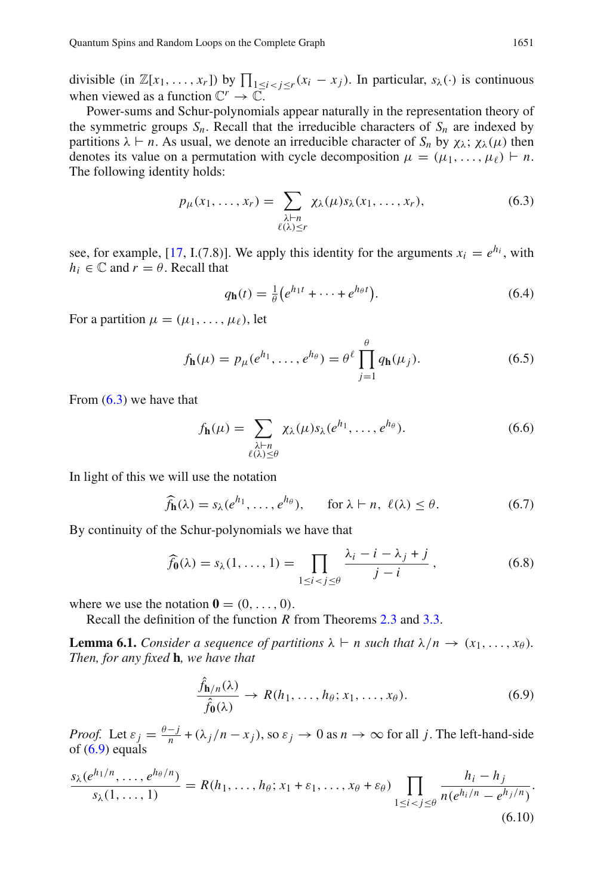divisible (in  $\mathbb{Z}[x_1, \ldots, x_r]$ ) by  $\prod_{1 \leq i < j \leq r} (x_i - x_j)$ . In particular,  $s_\lambda(\cdot)$  is continuous when viewed as a function  $\mathbb{C}^r \to \mathbb{C}$ .

Power-sums and Schur-polynomials appear naturally in the representation theory of the symmetric groups  $S_n$ . Recall that the irreducible characters of  $S_n$  are indexed by partitions  $\lambda \vdash n$ . As usual, we denote an irreducible character of  $S_n$  by  $\chi_{\lambda}$ ;  $\chi_{\lambda}(\mu)$  then denotes its value on a permutation with cycle decomposition  $\mu = (\mu_1, \dots, \mu_\ell) \vdash n$ . The following identity holds:

<span id="page-22-0"></span>
$$
p_{\mu}(x_1,\ldots,x_r) = \sum_{\substack{\lambda \vdash n \\ \ell(\lambda)\leq r}} \chi_{\lambda}(\mu)s_{\lambda}(x_1,\ldots,x_r), \qquad (6.3)
$$

see, for example, [\[17](#page-34-26), I.(7.8)]. We apply this identity for the arguments  $x_i = e^{h_i}$ , with  $h_i \in \mathbb{C}$  and  $r = \theta$ . Recall that

$$
q_{\mathbf{h}}(t) = \frac{1}{\theta} \left( e^{h_1 t} + \dots + e^{h_\theta t} \right). \tag{6.4}
$$

For a partition  $\mu = (\mu_1, \ldots, \mu_\ell)$ , let

$$
f_{\mathbf{h}}(\mu) = p_{\mu}(e^{h_1}, \dots, e^{h_{\theta}}) = \theta^{\ell} \prod_{j=1}^{\theta} q_{\mathbf{h}}(\mu_j).
$$
 (6.5)

From  $(6.3)$  we have that

<span id="page-22-2"></span>
$$
f_{\mathbf{h}}(\mu) = \sum_{\substack{\lambda \vdash n \\ \ell(\lambda) \le \theta}} \chi_{\lambda}(\mu) s_{\lambda}(e^{h_1}, \dots, e^{h_{\theta}}). \tag{6.6}
$$

In light of this we will use the notation

$$
\widehat{f}_{\mathbf{h}}(\lambda) = s_{\lambda}(e^{h_1}, \dots, e^{h_{\theta}}), \quad \text{for } \lambda \vdash n, \ \ell(\lambda) \leq \theta. \tag{6.7}
$$

By continuity of the Schur-polynomials we have that

$$
\widehat{f}_{\mathbf{0}}(\lambda) = s_{\lambda}(1, \dots, 1) = \prod_{1 \le i < j \le \theta} \frac{\lambda_i - i - \lambda_j + j}{j - i},\tag{6.8}
$$

<span id="page-22-3"></span>where we use the notation  $\mathbf{0} = (0, \ldots, 0)$ .

Recall the definition of the function *R* from Theorems [2.3](#page-7-1) and [3.3.](#page-15-3)

**Lemma 6.1.** *Consider a sequence of partitions*  $\lambda \vdash n$  *such that*  $\lambda/n \rightarrow (x_1, \ldots, x_\theta)$ *. Then, for any fixed* **h***, we have that*

<span id="page-22-1"></span>
$$
\frac{\hat{f}_{h/n}(\lambda)}{\hat{f}_0(\lambda)} \to R(h_1, \dots, h_\theta; x_1, \dots, x_\theta). \tag{6.9}
$$

*Proof.* Let  $\varepsilon_j = \frac{\theta - j}{n} + (\lambda_j/n - x_j)$ , so  $\varepsilon_j \to 0$  as  $n \to \infty$  for all *j*. The left-hand-side of  $(6.9)$  equals

$$
\frac{s_{\lambda}(e^{h_1/n},\ldots,e^{h_{\theta}/n})}{s_{\lambda}(1,\ldots,1)}=R(h_1,\ldots,h_{\theta};x_1+\varepsilon_1,\ldots,x_{\theta}+\varepsilon_{\theta})\prod_{1\leq i\n(6.10)
$$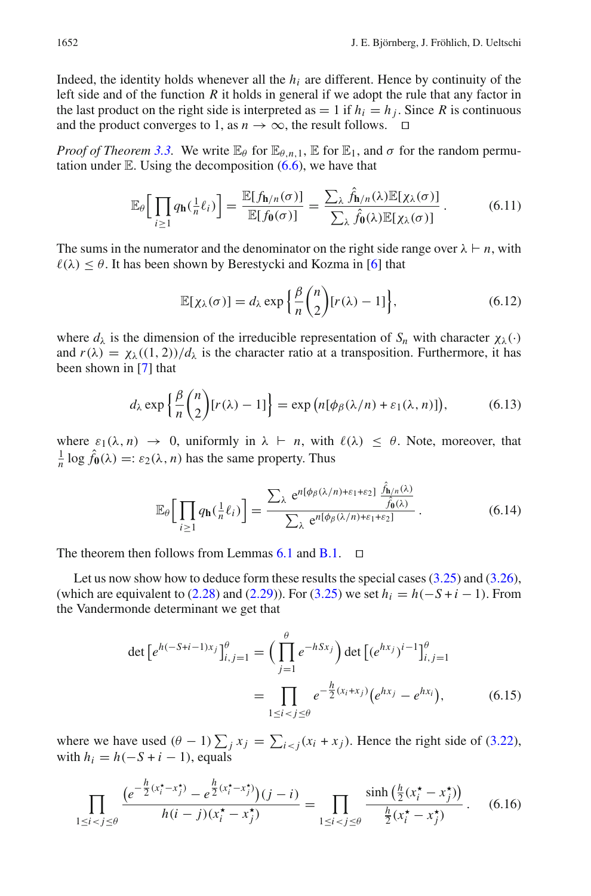Indeed, the identity holds whenever all the  $h_i$  are different. Hence by continuity of the left side and of the function *R* it holds in general if we adopt the rule that any factor in the last product on the right side is interpreted as  $= 1$  if  $h_i = h_j$ . Since R is continuous and the product converges to 1, as  $n \to \infty$ , the result follows.  $\square$ 

*Proof of Theorem* [3.3.](#page-15-3) We write  $\mathbb{E}_{\theta}$  for  $\mathbb{E}_{\theta,n,1}$ ,  $\mathbb{E}$  for  $\mathbb{E}_1$ , and  $\sigma$  for the random permutation under  $E$ . Using the decomposition  $(6.6)$ , we have that

$$
\mathbb{E}_{\theta}\Big[\prod_{i\geq 1} q_{\mathbf{h}}(\frac{1}{n}\ell_i)\Big] = \frac{\mathbb{E}[f_{\mathbf{h}/n}(\sigma)]}{\mathbb{E}[f_{\mathbf{0}}(\sigma)]} = \frac{\sum_{\lambda} \hat{f}_{\mathbf{h}/n}(\lambda)\mathbb{E}[\chi_{\lambda}(\sigma)]}{\sum_{\lambda} \hat{f}_{\mathbf{0}}(\lambda)\mathbb{E}[\chi_{\lambda}(\sigma)]}.
$$
(6.11)

The sums in the numerator and the denominator on the right side range over  $\lambda \vdash n$ , with  $\ell(\lambda) \leq \theta$ . It has been shown by Berestycki and Kozma in [\[6\]](#page-34-25) that

$$
\mathbb{E}[\chi_{\lambda}(\sigma)] = d_{\lambda} \exp\left\{\frac{\beta}{n} {n \choose 2} [r(\lambda) - 1] \right\},\tag{6.12}
$$

where  $d_{\lambda}$  is the dimension of the irreducible representation of  $S_n$  with character  $\chi_{\lambda}(\cdot)$ and  $r(\lambda) = \chi_{\lambda}((1, 2))/d_{\lambda}$  is the character ratio at a transposition. Furthermore, it has been shown in [\[7](#page-34-4)] that

$$
d_{\lambda} \exp\left\{\frac{\beta}{n} {n \choose 2} [r(\lambda) - 1] \right\} = \exp\left(n[\phi_{\beta}(\lambda/n) + \varepsilon_1(\lambda, n)]\right),\tag{6.13}
$$

where  $\varepsilon_1(\lambda, n) \to 0$ , uniformly in  $\lambda \vdash n$ , with  $\ell(\lambda) \leq \theta$ . Note, moreover, that  $\frac{1}{n}$  log  $\hat{f}_{\mathbf{0}}(\lambda) =: \varepsilon_2(\lambda, n)$  has the same property. Thus

$$
\mathbb{E}_{\theta}\Big[\prod_{i\geq 1} q_{\mathbf{h}}(\frac{1}{n}\ell_i)\Big] = \frac{\sum_{\lambda} e^{n[\phi_{\beta}(\lambda/n)+\varepsilon_1+\varepsilon_2]} \frac{\hat{f}_{\mathbf{h}/n}(\lambda)}{\hat{f}_{\mathbf{0}}(\lambda)}}{\sum_{\lambda} e^{n[\phi_{\beta}(\lambda/n)+\varepsilon_1+\varepsilon_2]}}.
$$
(6.14)

The theorem then follows from Lemmas  $6.1$  and  $B.1$ .  $\square$ 

Let us now show how to deduce form these results the special cases [\(3.25\)](#page-16-1) and [\(3.26\)](#page-16-2), (which are equivalent to  $(2.28)$  and  $(2.29)$ ). For  $(3.25)$  we set  $h_i = h(-S + i - 1)$ . From the Vandermonde determinant we get that

$$
\det \left[ e^{h(-S+i-1)x_j} \right]_{i,j=1}^{\theta} = \left( \prod_{j=1}^{\theta} e^{-hSx_j} \right) \det \left[ (e^{hx_j})^{i-1} \right]_{i,j=1}^{\theta}
$$

$$
= \prod_{1 \le i < j \le \theta} e^{-\frac{h}{2}(x_i + x_j)} \left( e^{hx_j} - e^{hx_i} \right), \tag{6.15}
$$

where we have used  $(\theta - 1) \sum_j x_j = \sum_{i \le j} (x_i + x_j)$ . Hence the right side of [\(3.22\)](#page-16-3), with  $h_i = h(-S + i - 1)$ , equals

$$
\prod_{1 \le i < j \le \theta} \frac{\left(e^{-\frac{h}{2}(x_i^* - x_j^*)} - e^{\frac{h}{2}(x_i^* - x_j^*)}\right)(j - i)}{h(i - j)(x_i^* - x_j^*)} = \prod_{1 \le i < j \le \theta} \frac{\sinh\left(\frac{h}{2}(x_i^* - x_j^*)\right)}{\frac{h}{2}(x_i^* - x_j^*)}.
$$
\n(6.16)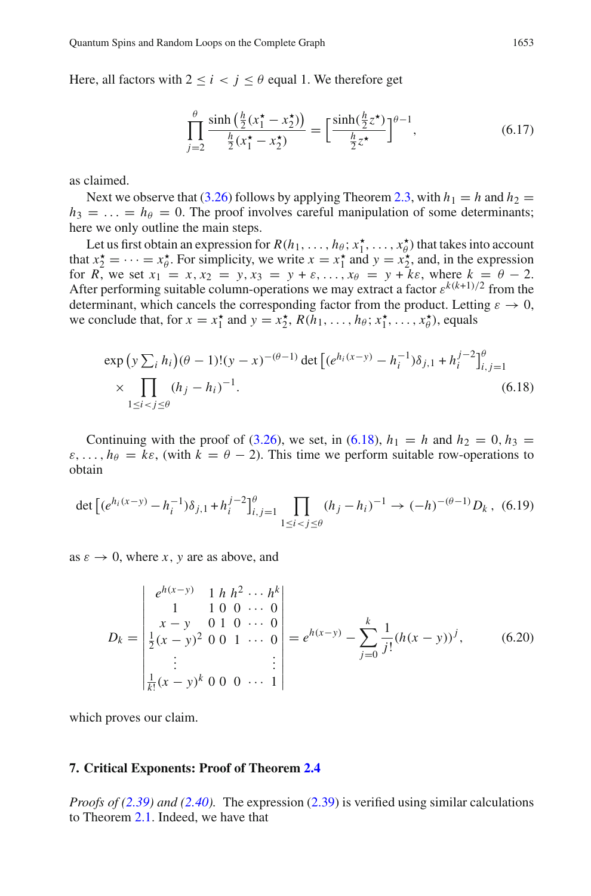Here, all factors with  $2 \le i \le j \le \theta$  equal 1. We therefore get

$$
\prod_{j=2}^{\theta} \frac{\sinh\left(\frac{h}{2}(x_1^{\star} - x_2^{\star})\right)}{\frac{h}{2}(x_1^{\star} - x_2^{\star})} = \left[\frac{\sinh\left(\frac{h}{2}z^{\star}\right)}{\frac{h}{2}z^{\star}}\right]^{\theta - 1},\tag{6.17}
$$

as claimed.

Next we observe that [\(3.26\)](#page-16-2) follows by applying Theorem [2.3,](#page-7-1) with  $h_1 = h$  and  $h_2 =$  $h_3 = \ldots = h_\theta = 0$ . The proof involves careful manipulation of some determinants; here we only outline the main steps.

Let us first obtain an expression for  $R(h_1, \ldots, h_\theta; x_1^*, \ldots, x_\theta^*)$  that takes into account that  $x_2^* = \cdots = x_\theta^*$ . For simplicity, we write  $x = x_1^*$  and  $y = x_2^*$ , and, in the expression for *R*, we set  $x_1 = x, x_2 = y, x_3 = y + \varepsilon, ..., x_{\theta} = y + \varepsilon \varepsilon$ , where  $k = \theta - 2$ . After performing suitable column-operations we may extract a factor  $\varepsilon^{k(k+1)/2}$  from the determinant, which cancels the corresponding factor from the product. Letting  $\varepsilon \to 0$ , we conclude that, for  $x = x_1^*$  and  $y = x_2^*, R(h_1, \ldots, h_\theta; x_1^*, \ldots, x_\theta^*)$ , equals

<span id="page-24-1"></span>
$$
\exp\left(y\sum_{i}h_{i}\right)(\theta-1)!(y-x)^{-(\theta-1)}\det\left[(e^{h_{i}(x-y)}-h_{i}^{-1})\delta_{j,1}+h_{i}^{j-2}\right]_{i,j=1}^{\theta}
$$
\n
$$
\times\prod_{1\leq i
$$

Continuing with the proof of [\(3.26\)](#page-16-2), we set, in [\(6.18\)](#page-24-1),  $h_1 = h$  and  $h_2 = 0$ ,  $h_3 =$  $\varepsilon, \ldots, h_{\theta} = k\varepsilon$ , (with  $k = \theta - 2$ ). This time we perform suitable row-operations to obtain

$$
\det \left[ (e^{h_i(x-y)} - h_i^{-1}) \delta_{j,1} + h_i^{j-2} \right]_{i,j=1}^{\theta} \prod_{1 \le i < j \le \theta} (h_j - h_i)^{-1} \to (-h)^{-(\theta-1)} D_k \,, \tag{6.19}
$$

as  $\varepsilon \to 0$ , where *x*, *y* are as above, and

$$
D_k = \begin{vmatrix} e^{h(x-y)} & 1 & h & h^2 & \cdots & h^k \\ 1 & 1 & 0 & 0 & \cdots & 0 \\ x - y & 0 & 1 & 0 & \cdots & 0 \\ \frac{1}{2}(x-y)^2 & 0 & 0 & 1 & \cdots & 0 \\ \vdots & \vdots & \vdots & \vdots & \vdots \\ \frac{1}{k!}(x-y)^k & 0 & 0 & \cdots & 1 \end{vmatrix} = e^{h(x-y)} - \sum_{j=0}^k \frac{1}{j!} (h(x-y))^j, \quad (6.20)
$$

which proves our claim.

#### <span id="page-24-0"></span>**7. Critical Exponents: Proof of Theorem [2.4](#page-9-1)**

*Proofs of [\(2.39\)](#page-9-4) and [\(2.40\)](#page-9-3).* The expression [\(2.39\)](#page-9-4) is verified using similar calculations to Theorem [2.1.](#page-5-0) Indeed, we have that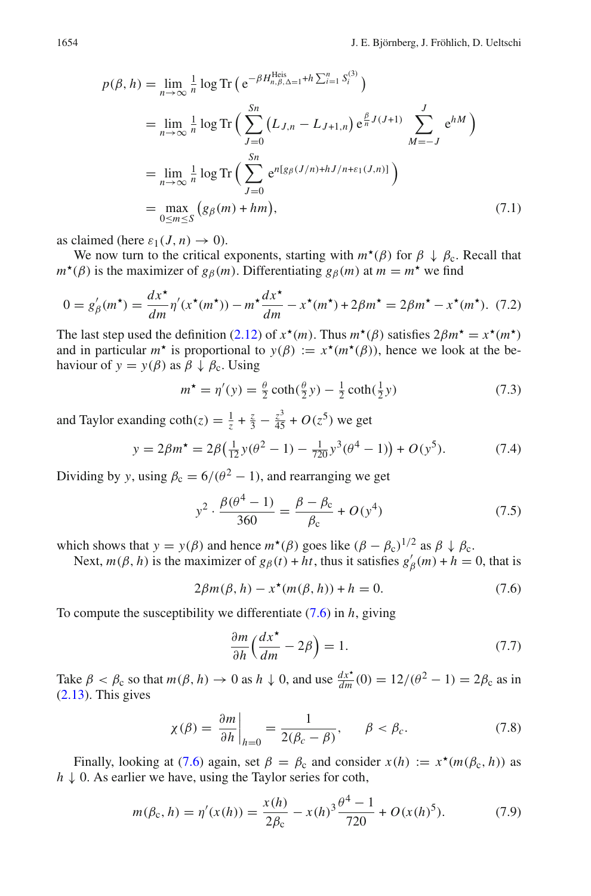$$
p(\beta, h) = \lim_{n \to \infty} \frac{1}{n} \log \text{Tr} \left( e^{-\beta H_{n,\beta,\Delta=1}^{\text{Heis}} + h \sum_{i=1}^{n} S_i^{(3)}} \right)
$$
  
\n
$$
= \lim_{n \to \infty} \frac{1}{n} \log \text{Tr} \left( \sum_{J=0}^{S_n} \left( L_{J,n} - L_{J+1,n} \right) e^{\frac{\beta}{n} J(J+1)} \sum_{M=-J}^{J} e^{hM} \right)
$$
  
\n
$$
= \lim_{n \to \infty} \frac{1}{n} \log \text{Tr} \left( \sum_{J=0}^{S_n} e^{n[g_{\beta}(J/n) + hJ/n + \varepsilon_1(J,n)]} \right)
$$
  
\n
$$
= \max_{0 \le m \le S} \left( g_{\beta}(m) + hm \right), \tag{7.1}
$$

as claimed (here  $\varepsilon_1(J, n) \to 0$ ).

We now turn to the critical exponents, starting with  $m^*(\beta)$  for  $\beta \downarrow \beta_c$ . Recall that  $m^*(\beta)$  is the maximizer of  $g_\beta(m)$ . Differentiating  $g_\beta(m)$  at  $m = m^*$  we find

$$
0 = g'_{\beta}(m^{\star}) = \frac{dx^{\star}}{dm} \eta'(x^{\star}(m^{\star})) - m^{\star} \frac{dx^{\star}}{dm} - x^{\star}(m^{\star}) + 2\beta m^{\star} = 2\beta m^{\star} - x^{\star}(m^{\star}). \tag{7.2}
$$

The last step used the definition [\(2.12\)](#page-5-5) of  $x^*(m)$ . Thus  $m^*(\beta)$  satisfies  $2\beta m^* = x^*(m^*)$ and in particular  $m^*$  is proportional to  $y(\beta) := x^*(m^*(\beta))$ , hence we look at the behaviour of  $y = y(\beta)$  as  $\beta \downarrow \beta_c$ . Using

$$
m^* = \eta'(y) = \frac{\theta}{2} \coth(\frac{\theta}{2}y) - \frac{1}{2} \coth(\frac{1}{2}y)
$$
 (7.3)

and Taylor exanding  $\coth(z) = \frac{1}{z} + \frac{z}{3} - \frac{z^3}{45} + O(z^5)$  we get

$$
y = 2\beta m^* = 2\beta \left(\frac{1}{12}y(\theta^2 - 1) - \frac{1}{720}y^3(\theta^4 - 1)\right) + O(y^5). \tag{7.4}
$$

Dividing by *y*, using  $\beta_c = 6/(\theta^2 - 1)$ , and rearranging we get

$$
y^{2} \cdot \frac{\beta(\theta^{4} - 1)}{360} = \frac{\beta - \beta_{c}}{\beta_{c}} + O(y^{4})
$$
\n(7.5)

which shows that  $y = y(\beta)$  and hence  $m^*(\beta)$  goes like  $(\beta - \beta_c)^{1/2}$  as  $\beta \downarrow \beta_c$ .

Next,  $m(\beta, h)$  is the maximizer of  $g_{\beta}(t) + ht$ , thus it satisfies  $g'_{\beta}(m) + h = 0$ , that is

$$
2\beta m(\beta, h) - x^*(m(\beta, h)) + h = 0.
$$
 (7.6)

To compute the susceptibility we differentiate [\(7.6\)](#page-25-0) in *h*, giving

<span id="page-25-0"></span>
$$
\frac{\partial m}{\partial h} \left( \frac{dx^*}{dm} - 2\beta \right) = 1. \tag{7.7}
$$

Take  $\beta < \beta_c$  so that  $m(\beta, h) \to 0$  as  $h \downarrow 0$ , and use  $\frac{dx^*}{dm}(0) = 12/(\theta^2 - 1) = 2\beta_c$  as in  $(2.13)$ . This gives

$$
\chi(\beta) = \frac{\partial m}{\partial h}\bigg|_{h=0} = \frac{1}{2(\beta_c - \beta)}, \qquad \beta < \beta_c. \tag{7.8}
$$

Finally, looking at [\(7.6\)](#page-25-0) again, set  $\beta = \beta_c$  and consider  $x(h) := x^*(m(\beta_c, h))$  as *h* ↓ 0. As earlier we have, using the Taylor series for coth,

$$
m(\beta_c, h) = \eta'(x(h)) = \frac{x(h)}{2\beta_c} - x(h)^3 \frac{\theta^4 - 1}{720} + O(x(h)^5). \tag{7.9}
$$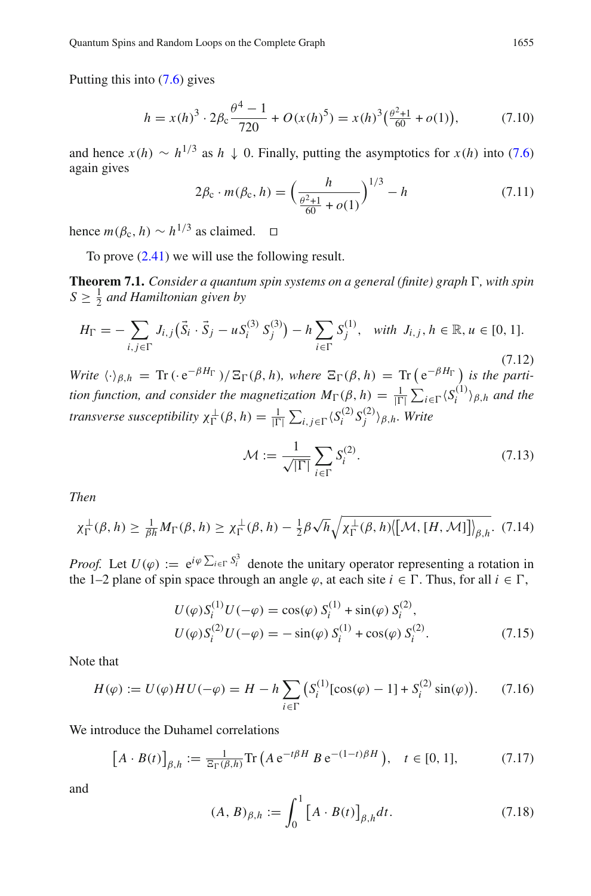Putting this into [\(7.6\)](#page-25-0) gives

$$
h = x(h)^3 \cdot 2\beta \cdot \frac{\theta^4 - 1}{720} + O(x(h)^5) = x(h)^3 \left(\frac{\theta^2 + 1}{60} + o(1)\right),\tag{7.10}
$$

and hence  $x(h) \sim h^{1/3}$  as  $h \downarrow 0$ . Finally, putting the asymptotics for  $x(h)$  into [\(7.6\)](#page-25-0) again gives

<span id="page-26-2"></span>
$$
2\beta_{\rm c} \cdot m(\beta_{\rm c}, h) = \left(\frac{h}{\frac{\theta^2 + 1}{60} + o(1)}\right)^{1/3} - h \tag{7.11}
$$

hence  $m(\beta_c, h) \sim h^{1/3}$  as claimed. □

<span id="page-26-1"></span>To prove [\(2.41\)](#page-9-5) we will use the following result.

**Theorem 7.1.** *Consider a quantum spin systems on a general (finite) graph*  $\Gamma$ *, with spin*  $S \geq \frac{1}{2}$  and Hamiltonian given by

$$
H_{\Gamma} = -\sum_{i,j \in \Gamma} J_{i,j} (\vec{S}_i \cdot \vec{S}_j - u S_i^{(3)} S_j^{(3)}) - h \sum_{i \in \Gamma} S_j^{(1)}, \text{ with } J_{i,j}, h \in \mathbb{R}, u \in [0, 1].
$$
\n(7.12)

*Write*  $\langle \cdot \rangle_{\beta,h} = \text{Tr}(\cdot e^{-\beta H_{\Gamma}})/\Xi_{\Gamma}(\beta, h)$ *, where*  $\Xi_{\Gamma}(\beta, h) = \text{Tr}(\cdot e^{-\beta H_{\Gamma}})/\Xi_{\Gamma}(\beta, h)$  *is the partition function, and consider the magnetization*  $M_{\Gamma}(\beta, h) = \frac{1}{|\Gamma|} \sum_{i \in \Gamma} \langle S_i^{(1)} \rangle_{\beta, h}$  *<i>and the transverse susceptibility*  $\chi_{\Gamma}^{\perp}(\beta, h) = \frac{1}{|\Gamma|} \sum_{i,j \in \Gamma} \langle S_i^{(2)} S_j^{(2)} \rangle_{\beta, h}$ . Write

$$
\mathcal{M} := \frac{1}{\sqrt{|\Gamma|}} \sum_{i \in \Gamma} S_i^{(2)}.
$$
\n(7.13)

<span id="page-26-0"></span>*Then*

$$
\chi_{\Gamma}^{\perp}(\beta, h) \geq \frac{1}{\beta h} M_{\Gamma}(\beta, h) \geq \chi_{\Gamma}^{\perp}(\beta, h) - \frac{1}{2} \beta \sqrt{h} \sqrt{\chi_{\Gamma}^{\perp}(\beta, h) \langle [\mathcal{M}, [H, \mathcal{M}]] \rangle_{\beta, h}}. (7.14)
$$

*Proof.* Let  $U(\varphi) := e^{i\varphi \sum_{i \in \Gamma} S_i^3}$  denote the unitary operator representing a rotation in the 1–2 plane of spin space through an angle  $\varphi$ , at each site  $i \in \Gamma$ . Thus, for all  $i \in \Gamma$ ,

$$
U(\varphi) S_i^{(1)} U(-\varphi) = \cos(\varphi) S_i^{(1)} + \sin(\varphi) S_i^{(2)},
$$
  
\n
$$
U(\varphi) S_i^{(2)} U(-\varphi) = -\sin(\varphi) S_i^{(1)} + \cos(\varphi) S_i^{(2)}.
$$
\n(7.15)

Note that

$$
H(\varphi) := U(\varphi) H U(-\varphi) = H - h \sum_{i \in \Gamma} \left( S_i^{(1)} [\cos(\varphi) - 1] + S_i^{(2)} \sin(\varphi) \right). \tag{7.16}
$$

We introduce the Duhamel correlations

$$
[A \cdot B(t)]_{\beta,h} := \frac{1}{\Xi_{\Gamma}(\beta,h)} \text{Tr}\left(A e^{-t\beta H} B e^{-(1-t)\beta H}\right), \quad t \in [0,1],\tag{7.17}
$$

and

$$
(A, B)_{\beta, h} := \int_0^1 [A \cdot B(t)]_{\beta, h} dt.
$$
 (7.18)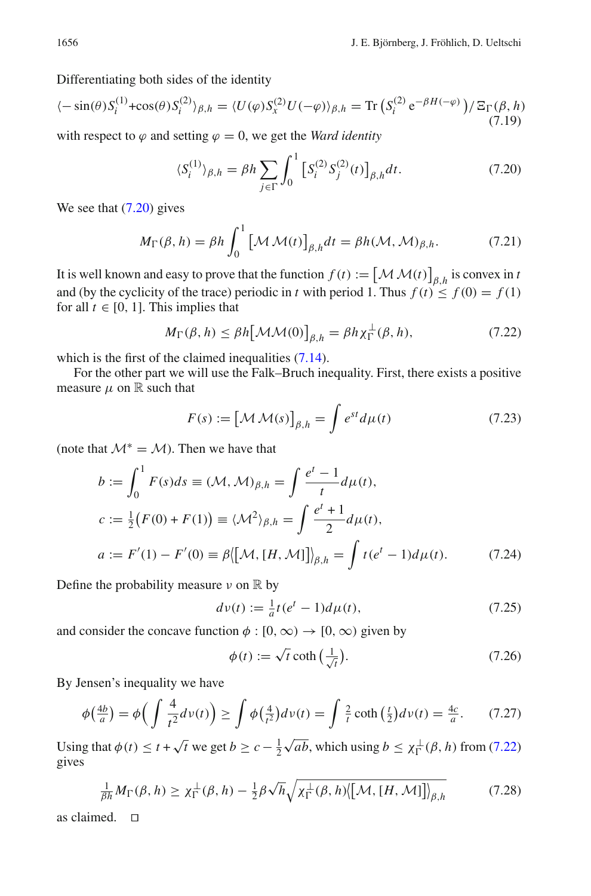Differentiating both sides of the identity

$$
\langle -\sin(\theta)S_i^{(1)} + \cos(\theta)S_i^{(2)}\rangle_{\beta,h} = \langle U(\varphi)S_x^{(2)}U(-\varphi)\rangle_{\beta,h} = \text{Tr}\left(S_i^{(2)}e^{-\beta H(-\varphi)}\right)/\Xi_\Gamma(\beta,h)
$$
\n(7.19)

with respect to  $\varphi$  and setting  $\varphi = 0$ , we get the *Ward identity* 

<span id="page-27-0"></span>
$$
\langle S_i^{(1)} \rangle_{\beta, h} = \beta h \sum_{j \in \Gamma} \int_0^1 \left[ S_i^{(2)} S_j^{(2)}(t) \right]_{\beta, h} dt.
$$
 (7.20)

We see that  $(7.20)$  gives

$$
M_{\Gamma}(\beta, h) = \beta h \int_0^1 \left[ \mathcal{M} \mathcal{M}(t) \right]_{\beta, h} dt = \beta h(\mathcal{M}, \mathcal{M})_{\beta, h}.
$$
 (7.21)

It is well known and easy to prove that the function  $f(t) := \left[ \mathcal{M} \mathcal{M}(t) \right]_{\beta,h}$  is convex in *t* and (by the cyclicity of the trace) periodic in *t* with period 1. Thus  $f(t) \le f(0) = f(1)$ for all  $t \in [0, 1]$ . This implies that

<span id="page-27-1"></span>
$$
M_{\Gamma}(\beta, h) \le \beta h \big[\mathcal{MM}(0)\big]_{\beta, h} = \beta h \chi_{\Gamma}^{\perp}(\beta, h), \tag{7.22}
$$

which is the first of the claimed inequalities  $(7.14)$ .

For the other part we will use the Falk–Bruch inequality. First, there exists a positive measure  $\mu$  on  $\mathbb R$  such that

$$
F(s) := \left[ \mathcal{M} \mathcal{M}(s) \right]_{\beta, h} = \int e^{st} d\mu(t) \tag{7.23}
$$

(note that  $M^* = M$ ). Then we have that

$$
b := \int_0^1 F(s)ds \equiv (\mathcal{M}, \mathcal{M})_{\beta, h} = \int \frac{e^t - 1}{t} d\mu(t),
$$
  
\n
$$
c := \frac{1}{2} (F(0) + F(1)) \equiv \langle \mathcal{M}^2 \rangle_{\beta, h} = \int \frac{e^t + 1}{2} d\mu(t),
$$
  
\n
$$
a := F'(1) - F'(0) \equiv \beta \langle [\mathcal{M}, [H, \mathcal{M}]] \rangle_{\beta, h} = \int t(e^t - 1) d\mu(t).
$$
 (7.24)

Define the probability measure  $\nu$  on  $\mathbb R$  by

$$
dv(t) := \frac{1}{a}t(e^t - 1)d\mu(t),
$$
\n(7.25)

and consider the concave function  $\phi$  : [0,  $\infty$ )  $\rightarrow$  [0,  $\infty$ ) given by

$$
\phi(t) := \sqrt{t} \coth\left(\frac{1}{\sqrt{t}}\right). \tag{7.26}
$$

By Jensen's inequality we have

$$
\phi\left(\frac{4b}{a}\right) = \phi\left(\int \frac{4}{t^2} d\nu(t)\right) \ge \int \phi\left(\frac{4}{t^2}\right) d\nu(t) = \int \frac{2}{t} \coth\left(\frac{t}{2}\right) d\nu(t) = \frac{4c}{a}.\tag{7.27}
$$

Using that  $\phi(t) \le t + \sqrt{t}$  we get  $b \ge c - \frac{1}{2}\sqrt{ab}$ , which using  $b \le \chi_{\Gamma}^{\perp}(\beta, h)$  from [\(7.22\)](#page-27-1) gives

$$
\frac{1}{\beta h} M_{\Gamma}(\beta, h) \ge \chi_{\Gamma}^{\perp}(\beta, h) - \frac{1}{2} \beta \sqrt{h} \sqrt{\chi_{\Gamma}^{\perp}(\beta, h) \langle [\mathcal{M}, [H, \mathcal{M}]] \rangle_{\beta, h}} \tag{7.28}
$$

as claimed.  $\square$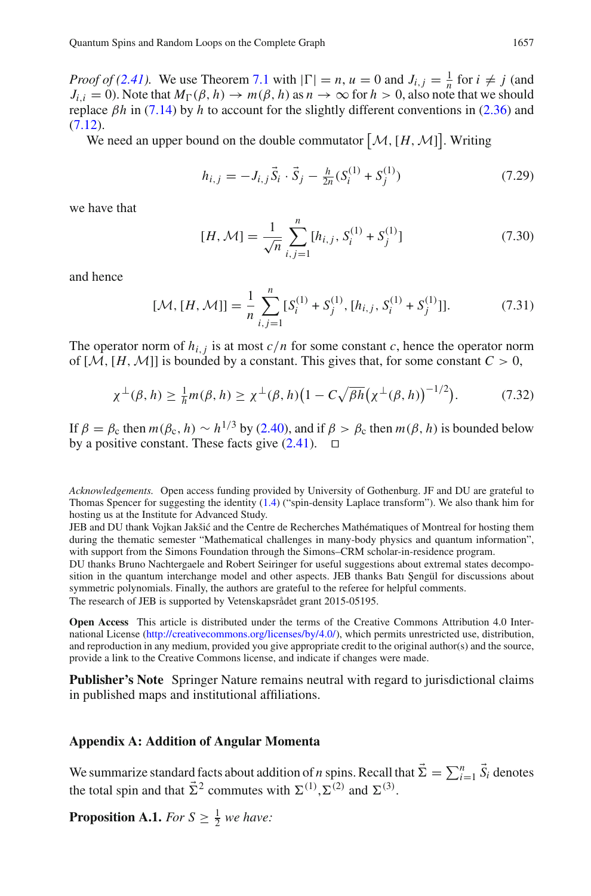*Proof of [\(2.41\)](#page-9-5).* We use Theorem [7.1](#page-26-1) with  $|\Gamma| = n$ ,  $u = 0$  and  $J_{i,j} = \frac{1}{n}$  for  $i \neq j$  (and  $J_{i,i} = 0$ ). Note that  $M_{\Gamma}(\beta, h) \to m(\beta, h)$  as  $n \to \infty$  for  $h > 0$ , also note that we should replace β*h* in [\(7.14\)](#page-26-0) by *h* to account for the slightly different conventions in [\(2.36\)](#page-9-6) and  $(7.12).$  $(7.12).$ 

We need an upper bound on the double commutator  $[M, [H, M]]$ . Writing

$$
h_{i,j} = -J_{i,j}\vec{S}_i \cdot \vec{S}_j - \frac{h}{2n}(S_i^{(1)} + S_j^{(1)})
$$
\n(7.29)

we have that

<span id="page-28-0"></span>
$$
[H, \mathcal{M}] = \frac{1}{\sqrt{n}} \sum_{i,j=1}^{n} [h_{i,j}, S_i^{(1)} + S_j^{(1)}]
$$
\n(7.30)

and hence

$$
[\mathcal{M}, [H, \mathcal{M}]] = \frac{1}{n} \sum_{i,j=1}^{n} [S_i^{(1)} + S_j^{(1)}, [h_{i,j}, S_i^{(1)} + S_j^{(1)}]].
$$
 (7.31)

The operator norm of  $h_{i,j}$  is at most  $c/n$  for some constant c, hence the operator norm of  $[\mathcal{M}, [H, \mathcal{M}]]$  is bounded by a constant. This gives that, for some constant  $C > 0$ ,

$$
\chi^{\perp}(\beta, h) \ge \frac{1}{h} m(\beta, h) \ge \chi^{\perp}(\beta, h) \big( 1 - C \sqrt{\beta h} \big( \chi^{\perp}(\beta, h) \big)^{-1/2} \big). \tag{7.32}
$$

If  $\beta = \beta_c$  then  $m(\beta_c, h) \sim h^{1/3}$  by [\(2.40\)](#page-9-3), and if  $\beta > \beta_c$  then  $m(\beta, h)$  is bounded below by a positive constant. These facts give  $(2.41)$ .  $\Box$ 

*Acknowledgements.* Open access funding provided by University of Gothenburg. JF and DU are grateful to Thomas Spencer for suggesting the identity [\(1.4\)](#page-2-1) ("spin-density Laplace transform"). We also thank him for hosting us at the Institute for Advanced Study.

JEB and DU thank Vojkan Jakšić and the Centre de Recherches Mathématiques of Montreal for hosting them during the thematic semester "Mathematical challenges in many-body physics and quantum information", with support from the Simons Foundation through the Simons–CRM scholar-in-residence program.

DU thanks Bruno Nachtergaele and Robert Seiringer for useful suggestions about extremal states decomposition in the quantum interchange model and other aspects. JEB thanks Batı Sengül for discussions about symmetric polynomials. Finally, the authors are grateful to the referee for helpful comments.

The research of JEB is supported by Vetenskapsrådet grant 2015-05195.

**Open Access** This article is distributed under the terms of the Creative Commons Attribution 4.0 International License [\(http://creativecommons.org/licenses/by/4.0/\)](http://creativecommons.org/licenses/by/4.0/), which permits unrestricted use, distribution, and reproduction in any medium, provided you give appropriate credit to the original author(s) and the source, provide a link to the Creative Commons license, and indicate if changes were made.

**Publisher's Note** Springer Nature remains neutral with regard to jurisdictional claims in published maps and institutional affiliations.

#### <span id="page-28-1"></span>**Appendix A: Addition of Angular Momenta**

We summarize standard facts about addition of *n* spins. Recall that  $\vec{\Sigma} = \sum_{i=1}^{n} \vec{S}_i$  denotes the total spin and that  $\vec{\Sigma}^2$  commutes with  $\Sigma^{(1)}, \Sigma^{(2)}$  and  $\Sigma^{(3)}$ .

<span id="page-28-2"></span>**Proposition A.1.** *For*  $S \geq \frac{1}{2}$  *we have:*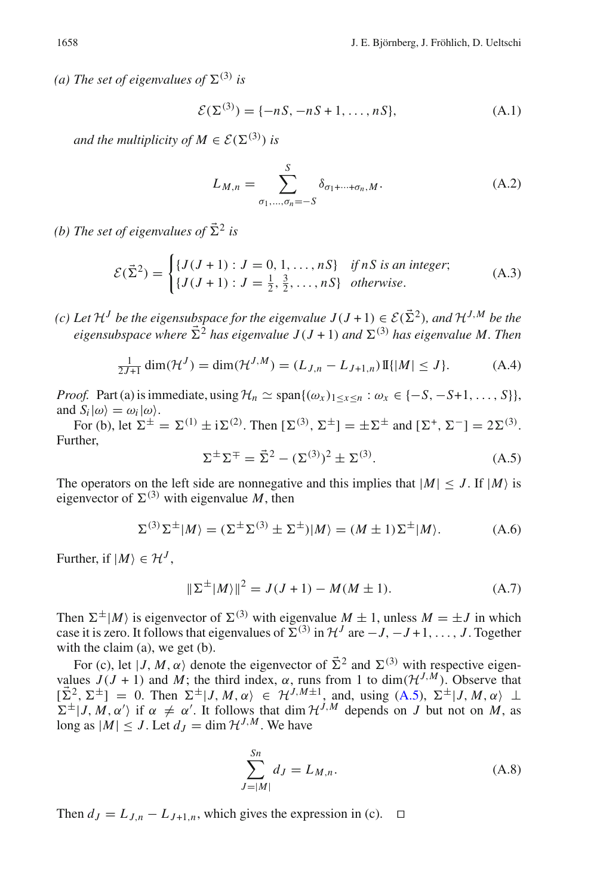*(a)* The set of eigenvalues of  $\Sigma^{(3)}$  is

$$
\mathcal{E}(\Sigma^{(3)}) = \{-nS, -nS + 1, \dots, nS\},\tag{A.1}
$$

*and the multiplicity of*  $M \in \mathcal{E}(\Sigma^{(3)})$  *is* 

<span id="page-29-0"></span>
$$
L_{M,n} = \sum_{\sigma_1,\dots,\sigma_n = -S}^{S} \delta_{\sigma_1 + \dots + \sigma_n, M}.
$$
 (A.2)

*(b)* The set of eigenvalues of  $\vec{\Sigma}^2$  is

$$
\mathcal{E}(\vec{\Sigma}^2) = \begin{cases} \{J(J+1) : J = 0, 1, ..., nS\} & \text{if } nS \text{ is an integer;}\\ \{J(J+1) : J = \frac{1}{2}, \frac{3}{2}, ..., nS\} & \text{otherwise.} \end{cases}
$$
(A.3)

*(c)* Let  $\mathcal{H}^J$  be the eigensubspace for the eigenvalue  $J(J+1) \in \mathcal{E}(\Sigma^2)$ , and  $\mathcal{H}^{J,M}$  be the *eigensubspace where*  $\vec{\Sigma}^2$  *has eigenvalue J*(*J* + 1) *and*  $\Sigma$ <sup>(3)</sup> *has eigenvalue M. Then* 

$$
\frac{1}{2J+1} \dim(\mathcal{H}^J) = \dim(\mathcal{H}^{J,M}) = (L_{J,n} - L_{J+1,n}) \mathbb{I} \{ |M| \le J \}. \tag{A.4}
$$

*Proof.* Part (a) is immediate, using  $\mathcal{H}_n \simeq \text{span}\{(\omega_x)_{1 \leq x \leq n} : \omega_x \in \{-S, -S+1, \dots, S\}\},\$ and  $S_i|\omega\rangle = \omega_i|\omega\rangle$ .

<span id="page-29-1"></span>For (b), let  $\Sigma^{\pm} = \Sigma^{(1)} \pm i\Sigma^{(2)}$ . Then  $[\Sigma^{(3)}, \Sigma^{\pm}] = \pm \Sigma^{\pm}$  and  $[\Sigma^{+}, \Sigma^{-}] = 2\Sigma^{(3)}$ . Further,

$$
\Sigma^{\pm} \Sigma^{\mp} = \vec{\Sigma}^2 - (\Sigma^{(3)})^2 \pm \Sigma^{(3)}.
$$
 (A.5)

The operators on the left side are nonnegative and this implies that  $|M| \leq J$ . If  $|M\rangle$  is eigenvector of  $\Sigma^{(3)}$  with eigenvalue *M*, then

$$
\Sigma^{(3)}\Sigma^{\pm}|M\rangle = (\Sigma^{\pm}\Sigma^{(3)} \pm \Sigma^{\pm})|M\rangle = (M \pm 1)\Sigma^{\pm}|M\rangle. \tag{A.6}
$$

Further, if  $|M\rangle \in \mathcal{H}^{J}$ ,

<span id="page-29-2"></span>
$$
\|\Sigma^{\pm}|M\rangle\|^2 = J(J+1) - M(M \pm 1). \tag{A.7}
$$

Then  $\Sigma^{\pm}|M\rangle$  is eigenvector of  $\Sigma^{(3)}$  with eigenvalue  $M \pm 1$ , unless  $M = \pm J$  in which case it is zero. It follows that eigenvalues of  $\Sigma^{(3)}$  in  $\mathcal{H}^J$  are  $-J$ ,  $-J+1$ , ..., *J*. Together with the claim (a), we get (b).

For (c), let  $|J, M, \alpha\rangle$  denote the eigenvector of  $\vec{\Sigma}^2$  and  $\Sigma^{(3)}$  with respective eigenvalues  $J(J + 1)$  and *M*; the third index,  $\alpha$ , runs from 1 to dim $(\mathcal{H}^{J,M})$ . Observe that  $[\vec{\Sigma}^2, \Sigma^{\pm}] = 0$ . Then  $\Sigma^{\pm} | J, M, \alpha \rangle \in \mathcal{H}^{J, M \pm 1}$ , and, using [\(A.5\)](#page-29-1),  $\Sigma^{\pm} | J, M, \alpha \rangle \perp$  $\Sigma^{\pm}$  |*J*, *M*,  $\alpha'$  if  $\alpha \neq \alpha'$ . It follows that dim  $\mathcal{H}^{J,M}$  depends on *J* but not on *M*, as long as  $|M| < J$ . Let  $d<sub>I</sub> = \dim \mathcal{H}^{J,M}$ . We have

$$
\sum_{J=|M|}^{Sn} d_J = L_{M,n}.\tag{A.8}
$$

Then  $d_J = L_{J,n} - L_{J+1,n}$ , which gives the expression in (c).  $\Box$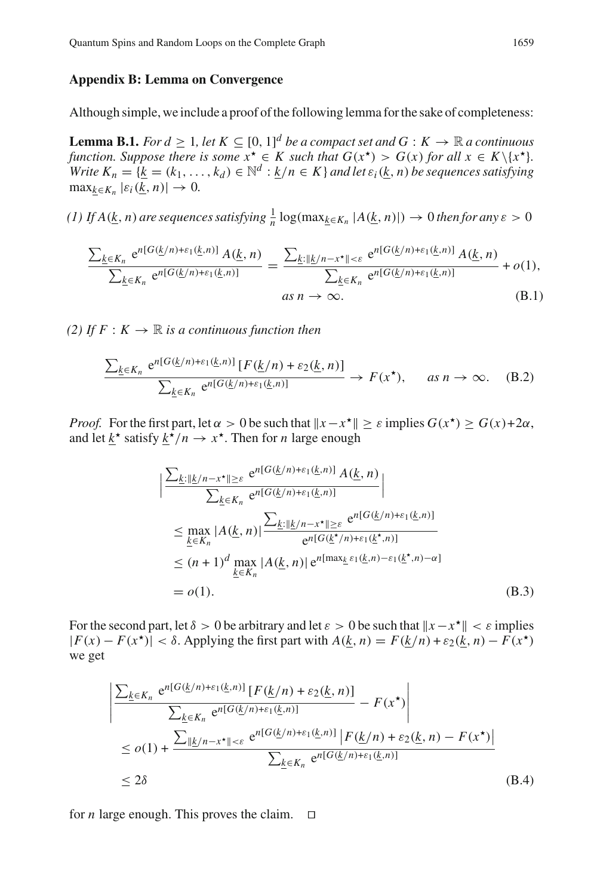#### <span id="page-30-0"></span>**Appendix B: Lemma on Convergence**

<span id="page-30-1"></span>Although simple, we include a proof of the following lemma for the sake of completeness:

**Lemma B.1.** *For d*  $\geq 1$ , let  $K \subseteq [0, 1]^d$  be a compact set and  $G : K \to \mathbb{R}$  a continuous *function. Suppose there is some*  $x^* \in K$  *such that*  $G(x^*) > G(x)$  *for all*  $x \in K \setminus \{x^*\}$ *. Write*  $K_n = \{k = (k_1, \ldots, k_d) \in \mathbb{N}^d : \underline{k}/n \in K\}$  *and let*  $\varepsilon_i(\underline{k}, n)$  *be sequences satisfying*  $\max_{k \in K_n} |\varepsilon_i(\underline{k}, n)| \to 0.$ 

*(1) If A*( $\underline{k}$ , *n*) *are sequences satisfying*  $\frac{1}{n}$  log( $\max_{\underline{k} \in K_n} |A(\underline{k}, n)|$ ) → 0 *then for any*  $\varepsilon > 0$ 

$$
\frac{\sum_{\underline{k}\in K_n} e^{n[G(\underline{k}/n)+\varepsilon_1(\underline{k},n)]} A(\underline{k},n)}{\sum_{\underline{k}\in K_n} e^{n[G(\underline{k}/n)+\varepsilon_1(\underline{k},n)]}} = \frac{\sum_{\underline{k}: ||\underline{k}/n-x^*|| < \varepsilon} e^{n[G(\underline{k}/n)+\varepsilon_1(\underline{k},n)]} A(\underline{k},n)}{\sum_{\underline{k}\in K_n} e^{n[G(\underline{k}/n)+\varepsilon_1(\underline{k},n)]}} + o(1),
$$
\n*as*  $n \to \infty$ . (B.1)

*(2)* If  $F: K \to \mathbb{R}$  *is a continuous function then* 

$$
\frac{\sum_{\underline{k}\in K_n} e^{n[G(\underline{k}/n)+\varepsilon_1(\underline{k},n)]} [F(\underline{k}/n)+\varepsilon_2(\underline{k},n)]}{\sum_{\underline{k}\in K_n} e^{n[G(\underline{k}/n)+\varepsilon_1(\underline{k},n)]}} \to F(x^{\star}), \quad \text{as } n \to \infty. \quad (B.2)
$$

*Proof.* For the first part, let  $\alpha > 0$  be such that  $||x - x^*|| > \varepsilon$  implies  $G(x^*) > G(x) + 2\alpha$ , and let  $k^*$  satisfy  $k^*/n \to x^*$ . Then for *n* large enough

<span id="page-30-3"></span>
$$
\left| \frac{\sum_{\underline{k}: \|\underline{k}/n - x^{\star}\| \geq \varepsilon} e^{n[G(\underline{k}/n) + \varepsilon_1(\underline{k}, n)]} A(\underline{k}, n)}{\sum_{\underline{k} \in K_n} e^{n[G(\underline{k}/n) + \varepsilon_1(\underline{k}, n)]}} \right|
$$
\n
$$
\leq \max_{\underline{k} \in K_n} |A(\underline{k}, n)| \frac{\sum_{\underline{k}: \|\underline{k}/n - x^{\star}\| \geq \varepsilon} e^{n[G(\underline{k}/n) + \varepsilon_1(\underline{k}, n)]}}{e^{n[G(\underline{k}^{\star}/n) + \varepsilon_1(\underline{k}^{\star}, n)]}}
$$
\n
$$
\leq (n + 1)^d \max_{\underline{k} \in K_n} |A(\underline{k}, n)| e^{n[\max_{\underline{k}} \varepsilon_1(\underline{k}, n) - \varepsilon_1(\underline{k}^{\star}, n) - \alpha]}
$$
\n
$$
= o(1).
$$
\n(B.3)

For the second part, let  $\delta > 0$  be arbitrary and let  $\varepsilon > 0$  be such that  $||x - x^*|| < \varepsilon$  implies  $|F(x) - F(x^*)| < \delta$ . Applying the first part with  $A(k, n) = F(k/n) + \varepsilon_2(k, n) - F(x^*)$ we get

<span id="page-30-2"></span>
$$
\frac{\left| \sum_{\underline{k} \in K_n} e^{n[G(\underline{k}/n) + \varepsilon_1(\underline{k}, n)]} [F(\underline{k}/n) + \varepsilon_2(\underline{k}, n)] - F(x^*) \right|}{\sum_{\underline{k} \in K_n} e^{n[G(\underline{k}/n) + \varepsilon_1(\underline{k}, n)]}} - F(x^*) \right|}{\leq o(1) + \frac{\sum_{\|\underline{k}/n - x^*\| < \varepsilon} e^{n[G(\underline{k}/n) + \varepsilon_1(\underline{k}, n)]} [F(\underline{k}/n) + \varepsilon_2(\underline{k}, n) - F(x^*)]}{\sum_{\underline{k} \in K_n} e^{n[G(\underline{k}/n) + \varepsilon_1(\underline{k}, n)]}}
$$
\n
$$
\leq 2\delta
$$
\n(B.4)

for *n* large enough. This proves the claim.  $\Box$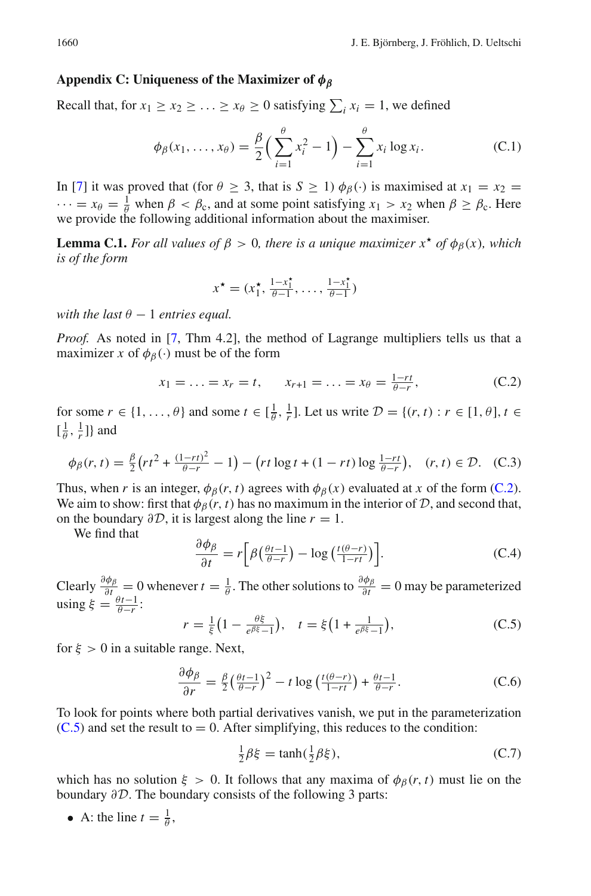### <span id="page-31-0"></span>**Appendix C: Uniqueness of the Maximizer of** *φβ*

Recall that, for  $x_1 \ge x_2 \ge \ldots \ge x_\theta \ge 0$  satisfying  $\sum_i x_i = 1$ , we defined

$$
\phi_{\beta}(x_1, ..., x_{\theta}) = \frac{\beta}{2} \left( \sum_{i=1}^{\theta} x_i^2 - 1 \right) - \sum_{i=1}^{\theta} x_i \log x_i.
$$
 (C.1)

In [\[7\]](#page-34-4) it was proved that (for  $\theta \ge 3$ , that is  $S \ge 1$ )  $\phi_{\beta}(\cdot)$  is maximised at  $x_1 = x_2 =$  $\cdots = x_{\theta} = \frac{1}{\theta}$  when  $\beta < \beta_c$ , and at some point satisfying  $x_1 > x_2$  when  $\beta \ge \beta_c$ . Here we provide the following additional information about the maximiser.

**Lemma C.1.** *For all values of*  $\beta > 0$ *, there is a unique maximizer x<sup>\*</sup> of*  $\phi_{\beta}(x)$ *, which is of the form*

<span id="page-31-1"></span>
$$
x^{\star} = (x_1^{\star}, \frac{1 - x_1^{\star}}{\theta - 1}, \dots, \frac{1 - x_1^{\star}}{\theta - 1})
$$

*with the last*  $\theta - 1$  *entries equal.* 

*Proof.* As noted in [\[7](#page-34-4), Thm 4.2], the method of Lagrange multipliers tells us that a maximizer *x* of  $\phi_B(\cdot)$  must be of the form

$$
x_1 = \ldots = x_r = t, \qquad x_{r+1} = \ldots = x_{\theta} = \frac{1-rt}{\theta-r},
$$
 (C.2)

for some  $r \in \{1, \ldots, \theta\}$  and some  $t \in [\frac{1}{\theta}, \frac{1}{r}]$ . Let us write  $\mathcal{D} = \{(r, t) : r \in [1, \theta], t \in \mathcal{D}\}$  $\left[\frac{1}{\theta}, \frac{1}{r}\right]$  and

$$
\phi_{\beta}(r,t) = \frac{\beta}{2} \left( r t^2 + \frac{(1 - rt)^2}{\theta - r} - 1 \right) - \left( r t \log t + (1 - rt) \log \frac{1 - rt}{\theta - r} \right), \quad (r, t) \in \mathcal{D}. \tag{C.3}
$$

Thus, when *r* is an integer,  $\phi_B(r, t)$  agrees with  $\phi_B(x)$  evaluated at *x* of the form [\(C.2\)](#page-31-1). We aim to show: first that  $\phi_{\beta}(r, t)$  has no maximum in the interior of *D*, and second that, on the boundary  $\partial \mathcal{D}$ , it is largest along the line  $r = 1$ .

We find that

$$
\frac{\partial \phi_{\beta}}{\partial t} = r \left[ \beta \left( \frac{\theta t - 1}{\theta - r} \right) - \log \left( \frac{t(\theta - r)}{1 - rt} \right) \right].
$$
 (C.4)

Clearly  $\frac{\partial \phi_{\beta}}{\partial t} = 0$  whenever  $t = \frac{1}{\theta}$ . The other solutions to  $\frac{\partial \phi_{\beta}}{\partial t} = 0$  may be parameterized using  $\xi = \frac{\theta t - 1}{\theta - r}$ :

$$
r = \frac{1}{\xi} \left( 1 - \frac{\theta \xi}{e^{\beta \xi} - 1} \right), \quad t = \xi \left( 1 + \frac{1}{e^{\beta \xi} - 1} \right), \tag{C.5}
$$

for  $\xi > 0$  in a suitable range. Next,

$$
\frac{\partial \phi_{\beta}}{\partial r} = \frac{\beta}{2} \left( \frac{\theta t - 1}{\theta - r} \right)^2 - t \log \left( \frac{t(\theta - r)}{1 - rt} \right) + \frac{\theta t - 1}{\theta - r}.
$$
 (C.6)

To look for points where both partial derivatives vanish, we put in the parameterization  $(C.5)$  and set the result to = 0. After simplifying, this reduces to the condition:

$$
\frac{1}{2}\beta\xi = \tanh(\frac{1}{2}\beta\xi),\tag{C.7}
$$

which has no solution  $\xi > 0$ . It follows that any maxima of  $\phi_\beta(r, t)$  must lie on the boundary ∂*D*. The boundary consists of the following 3 parts:

• A: the line  $t = \frac{1}{\theta}$ ,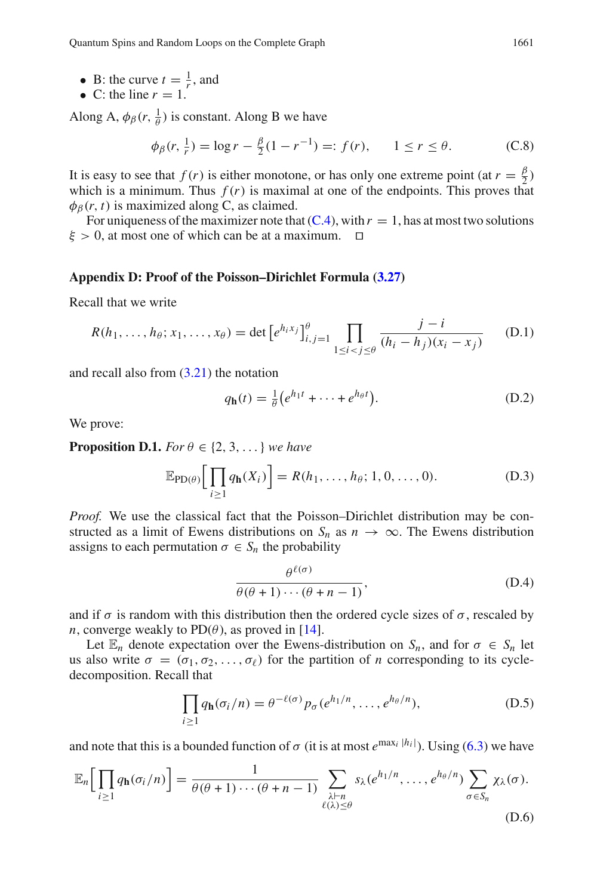Quantum Spins and Random Loops on the Complete Graph 1661

- B: the curve  $t = \frac{1}{r}$ , and
- C: the line  $r = 1$ .

Along A,  $\phi_{\beta}(r, \frac{1}{\theta})$  is constant. Along B we have

$$
\phi_{\beta}(r, \frac{1}{r}) = \log r - \frac{\beta}{2}(1 - r^{-1}) =: f(r), \qquad 1 \le r \le \theta. \tag{C.8}
$$

It is easy to see that  $f(r)$  is either monotone, or has only one extreme point (at  $r = \frac{\beta}{2}$ ) which is a minimum. Thus  $f(r)$  is maximal at one of the endpoints. This proves that  $\phi_{\beta}(r, t)$  is maximized along C, as claimed.

For uniqueness of the maximizer note that  $(C.4)$ , with  $r = 1$ , has at most two solutions  $\xi > 0$ , at most one of which can be at a maximum.  $\square$ 

#### <span id="page-32-0"></span>**Appendix D: Proof of the Poisson–Dirichlet Formula [\(3.27\)](#page-16-0)**

Recall that we write

$$
R(h_1, ..., h_{\theta}; x_1, ..., x_{\theta}) = \det [e^{h_i x_j}]_{i,j=1}^{\theta} \prod_{1 \le i < j \le \theta} \frac{j - i}{(h_i - h_j)(x_i - x_j)} \tag{D.1}
$$

and recall also from [\(3.21\)](#page-15-4) the notation

$$
q_{\mathbf{h}}(t) = \frac{1}{\theta} \left( e^{h_1 t} + \dots + e^{h_\theta t} \right). \tag{D.2}
$$

<span id="page-32-1"></span>We prove:

**Proposition D.1.** *For*  $\theta \in \{2, 3, \ldots\}$  *we have* 

$$
\mathbb{E}_{\text{PD}(\theta)}\Big[\prod_{i\geq 1} q_{\mathbf{h}}(X_i)\Big] = R(h_1,\ldots,h_\theta;1,0,\ldots,0). \tag{D.3}
$$

*Proof.* We use the classical fact that the Poisson–Dirichlet distribution may be constructed as a limit of Ewens distributions on  $S_n$  as  $n \to \infty$ . The Ewens distribution assigns to each permutation  $\sigma \in S_n$  the probability

$$
\frac{\theta^{\ell(\sigma)}}{\theta(\theta+1)\cdots(\theta+n-1)},\tag{D.4}
$$

and if  $\sigma$  is random with this distribution then the ordered cycle sizes of  $\sigma$ , rescaled by *n*, converge weakly to  $PD(\theta)$ , as proved in [\[14\]](#page-34-28).

Let  $\mathbb{E}_n$  denote expectation over the Ewens-distribution on  $S_n$ , and for  $\sigma \in S_n$  let us also write  $\sigma = (\sigma_1, \sigma_2, \dots, \sigma_\ell)$  for the partition of *n* corresponding to its cycledecomposition. Recall that

$$
\prod_{i\geq 1} q_{\mathbf{h}}(\sigma_i/n) = \theta^{-\ell(\sigma)} p_{\sigma}(e^{h_1/n}, \dots, e^{h_{\theta}/n}), \tag{D.5}
$$

and note that this is a bounded function of  $\sigma$  (it is at most  $e^{\max_i |h_i|}$ ). Using [\(6.3\)](#page-22-0) we have

$$
\mathbb{E}_n\Big[\prod_{i\geq 1} q_{\mathbf{h}}(\sigma_i/n)\Big] = \frac{1}{\theta(\theta+1)\cdots(\theta+n-1)}\sum_{\substack{\lambda\vdash n\\ \ell(\lambda)\leq\theta}} s_{\lambda}(e^{h_1/n},\ldots,e^{h_{\theta}/n})\sum_{\sigma\in S_n}\chi_{\lambda}(\sigma).
$$
\n(D.6)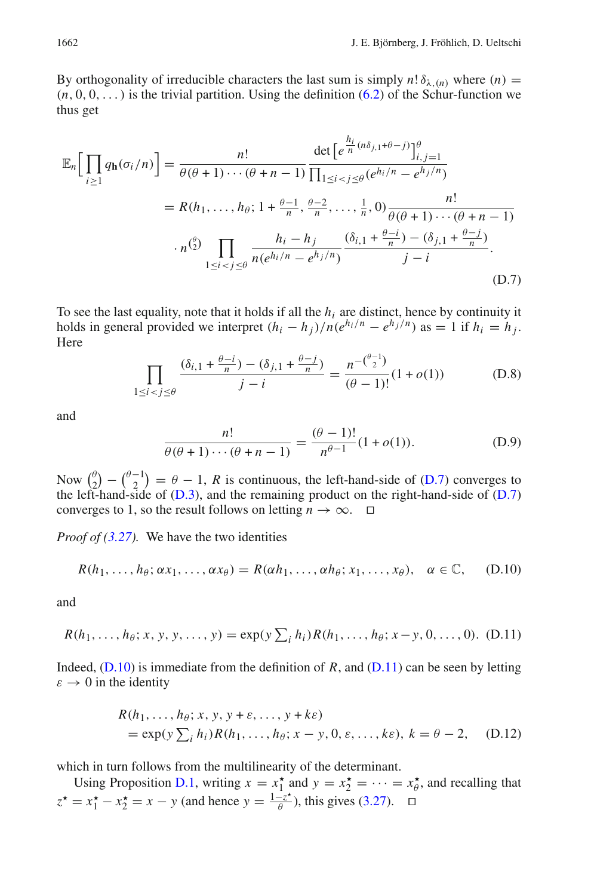By orthogonality of irreducible characters the last sum is simply  $n! \delta_{\lambda}(n)$  where  $(n)$  $(n, 0, 0, \ldots)$  is the trivial partition. Using the definition  $(6.2)$  of the Schur-function we thus get

$$
\mathbb{E}_{n}\Big[\prod_{i\geq 1} q_{\mathbf{h}}(\sigma_{i}/n)\Big] = \frac{n!}{\theta(\theta+1)\cdots(\theta+n-1)} \frac{\det\Big[e^{\frac{h_{i}}{n}(n\delta_{j,1}+\theta-j)}\Big]_{i,j=1}^{\theta}}{\prod_{1\leq i < j\leq \theta}(e^{h_{i}/n}-e^{h_{j}/n})}
$$
\n
$$
= R(h_{1},\ldots,h_{\theta};1+\frac{\theta-1}{n},\frac{\theta-2}{n},\ldots,\frac{1}{n},0)\frac{n!}{\theta(\theta+1)\cdots(\theta+n-1)}
$$
\n
$$
\cdot n^{\binom{\theta}{2}}\prod_{1\leq i < j\leq \theta} \frac{h_{i}-h_{j}}{n(e^{h_{i}/n}-e^{h_{j}/n})} \frac{(\delta_{i,1}+\frac{\theta-i}{n})-(\delta_{j,1}+\frac{\theta-j}{n})}{j-i}.\tag{D.7}
$$

To see the last equality, note that it holds if all the *hi* are distinct, hence by continuity it holds in general provided we interpret  $(h_i - h_j)/n(e^{h_i/n} - e^{h_j/n})$  as = 1 if  $h_i = h_j$ . Here

$$
\prod_{1 \le i < j \le \theta} \frac{(\delta_{i,1} + \frac{\theta - i}{n}) - (\delta_{j,1} + \frac{\theta - j}{n})}{j - i} = \frac{n^{-\binom{\theta - 1}{2}}}{(\theta - 1)!} (1 + o(1)) \tag{D.8}
$$

and

<span id="page-33-1"></span>
$$
\frac{n!}{\theta(\theta+1)\cdots(\theta+n-1)} = \frac{(\theta-1)!}{n^{\theta-1}}(1+o(1)).
$$
 (D.9)

Now  $\binom{\theta}{2} - \binom{\theta-1}{2} = \theta - 1$ , *R* is continuous, the left-hand-side of [\(D.7\)](#page-29-2) converges to the left-hand-side of  $(D.3)$ , and the remaining product on the right-hand-side of  $(D.7)$ converges to 1, so the result follows on letting  $n \to \infty$ .  $\Box$ 

*Proof of [\(3.27\)](#page-16-0).* We have the two identities

$$
R(h_1,\ldots,h_\theta;\alpha x_1,\ldots,\alpha x_\theta)=R(\alpha h_1,\ldots,\alpha h_\theta;x_1,\ldots,x_\theta),\quad \alpha\in\mathbb{C},\quad \text{(D.10)}
$$

<span id="page-33-2"></span>and

$$
R(h_1, \ldots, h_{\theta}; x, y, y, \ldots, y) = \exp(y \sum_i h_i) R(h_1, \ldots, h_{\theta}; x - y, 0, \ldots, 0).
$$
 (D.11)

Indeed,  $(D.10)$  is immediate from the definition of *R*, and  $(D.11)$  can be seen by letting  $\varepsilon \to 0$  in the identity

<span id="page-33-0"></span>
$$
R(h_1, \ldots, h_\theta; x, y, y + \varepsilon, \ldots, y + k\varepsilon)
$$
  
=  $\exp(y \sum_i h_i) R(h_1, \ldots, h_\theta; x - y, 0, \varepsilon, \ldots, k\varepsilon), k = \theta - 2,$  (D.12)

which in turn follows from the multilinearity of the determinant.

Using Proposition [D.1,](#page-32-1) writing  $x = x_1^*$  and  $y = x_2^* = \cdots = x_\theta^*$ , and recalling that  $z^* = x_1^* - x_2^* = x - y$  (and hence  $y = \frac{1 - z^*}{\theta}$ ), this gives [\(3.27\)](#page-16-0).